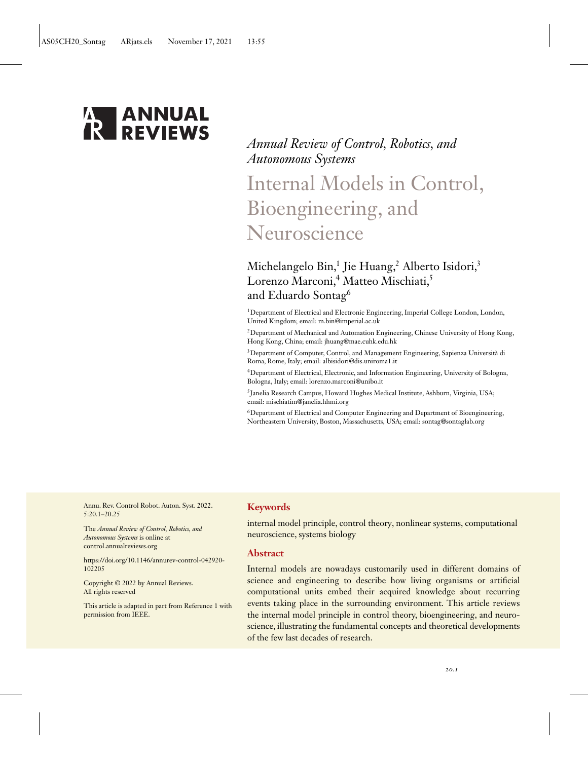

# *Annual Review of Control, Robotics, and Autonomous Systems*

# Internal Models in Control, Bioengineering, and Neuroscience

# Michelangelo Bin,<sup>1</sup> Jie Huang,<sup>2</sup> Alberto Isidori,<sup>3</sup> Lorenzo Marconi,<sup>4</sup> Matteo Mischiati,<sup>5</sup> and Eduardo Sontag6

1Department of Electrical and Electronic Engineering, Imperial College London, London, United Kingdom; email: [m.bin@imperial.ac.uk](mailto:m.bin@imperial.ac.uk)

 $^2$ Department of Mechanical and Automation Engineering, Chinese University of Hong Kong, Hong Kong, China; email: [jhuang@mae.cuhk.edu.hk](mailto:jhuang@mae.cuhk.edu.hk)

3Department of Computer, Control, and Management Engineering, Sapienza Università di Roma, Rome, Italy; email: [albisidori@dis.uniroma1.it](mailto:albisidori@dis.uniroma1.it)

4Department of Electrical, Electronic, and Information Engineering, University of Bologna, Bologna, Italy; email: [lorenzo.marconi@unibo.it](mailto:lorenzo.marconi@unibo.it)

5Janelia Research Campus, Howard Hughes Medical Institute, Ashburn, Virginia, USA; email: [mischiatim@janelia.hhmi.org](mailto:mischiatim@janelia.hhmi.org)

6Department of Electrical and Computer Engineering and Department of Bioengineering, Northeastern University, Boston, Massachusetts, USA; email: [sontag@sontaglab.org](mailto:sontag@sontaglab.org)

Annu. Rev. Control Robot. Auton. Syst. 2022. 5:20.1–20.25

The *Annual Review of Control, Robotics, and Autonomous Systems* is online at control.annualreviews.org

[https://doi.org/10.1146/annurev-control-042920-](https://doi.org/10.1146/annurev-control-042920-102205) 102205

Copyright © 2022 by Annual Reviews. All rights reserved

This article is adapted in part from Reference [1](#page-20-0) with permission from IEEE.

# **Keywords**

internal model principle, control theory, nonlinear systems, computational neuroscience, systems biology

# **Abstract**

Internal models are nowadays customarily used in different domains of science and engineering to describe how living organisms or artificial computational units embed their acquired knowledge about recurring events taking place in the surrounding environment. This article reviews the internal model principle in control theory, bioengineering, and neuroscience, illustrating the fundamental concepts and theoretical developments of the few last decades of research.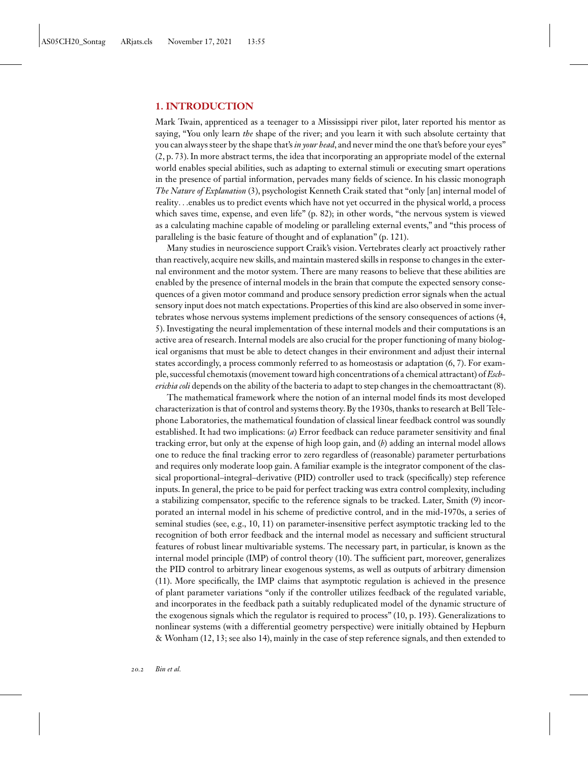# **1. INTRODUCTION**

Mark Twain, apprenticed as a teenager to a Mississippi river pilot, later reported his mentor as saying, "You only learn *the* shape of the river; and you learn it with such absolute certainty that you can always steer by the shape that's*in your head*, and never mind the one that's before your eyes" [\(2,](#page-20-0) p. 73). In more abstract terms, the idea that incorporating an appropriate model of the external world enables special abilities, such as adapting to external stimuli or executing smart operations in the presence of partial information, pervades many fields of science. In his classic monograph *The Nature of Explanation* [\(3\)](#page-20-0), psychologist Kenneth Craik stated that "only [an] internal model of reality...enables us to predict events which have not yet occurred in the physical world, a process which saves time, expense, and even life" (p. 82); in other words, "the nervous system is viewed as a calculating machine capable of modeling or paralleling external events," and "this process of paralleling is the basic feature of thought and of explanation" (p. 121).

Many studies in neuroscience support Craik's vision. Vertebrates clearly act proactively rather than reactively, acquire new skills, and maintain mastered skills in response to changes in the external environment and the motor system. There are many reasons to believe that these abilities are enabled by the presence of internal models in the brain that compute the expected sensory consequences of a given motor command and produce sensory prediction error signals when the actual sensory input does not match expectations. Properties of this kind are also observed in some invertebrates whose nervous systems implement predictions of the sensory consequences of actions [\(4,](#page-20-0) [5\)](#page-20-0). Investigating the neural implementation of these internal models and their computations is an active area of research. Internal models are also crucial for the proper functioning of many biological organisms that must be able to detect changes in their environment and adjust their internal states accordingly, a process commonly referred to as homeostasis or adaptation [\(6, 7\)](#page-20-0). For example, successful chemotaxis (movement toward high concentrations of a chemical attractant) of *Escherichia coli* depends on the ability of the bacteria to adapt to step changes in the chemoattractant [\(8\)](#page-21-0).

The mathematical framework where the notion of an internal model finds its most developed characterization is that of control and systems theory. By the 1930s, thanks to research at Bell Telephone Laboratories, the mathematical foundation of classical linear feedback control was soundly established. It had two implications: (*a*) Error feedback can reduce parameter sensitivity and final tracking error, but only at the expense of high loop gain, and (*b*) adding an internal model allows one to reduce the final tracking error to zero regardless of (reasonable) parameter perturbations and requires only moderate loop gain. A familiar example is the integrator component of the classical proportional–integral–derivative (PID) controller used to track (specifically) step reference inputs. In general, the price to be paid for perfect tracking was extra control complexity, including a stabilizing compensator, specific to the reference signals to be tracked. Later, Smith [\(9\)](#page-21-0) incorporated an internal model in his scheme of predictive control, and in the mid-1970s, a series of seminal studies (see, e.g., [10, 11\)](#page-21-0) on parameter-insensitive perfect asymptotic tracking led to the recognition of both error feedback and the internal model as necessary and sufficient structural features of robust linear multivariable systems. The necessary part, in particular, is known as the internal model principle (IMP) of control theory [\(10\)](#page-21-0). The sufficient part, moreover, generalizes the PID control to arbitrary linear exogenous systems, as well as outputs of arbitrary dimension [\(11\)](#page-21-0). More specifically, the IMP claims that asymptotic regulation is achieved in the presence of plant parameter variations "only if the controller utilizes feedback of the regulated variable, and incorporates in the feedback path a suitably reduplicated model of the dynamic structure of the exogenous signals which the regulator is required to process" [\(10,](#page-21-0) p. 193). Generalizations to nonlinear systems (with a differential geometry perspective) were initially obtained by Hepburn & Wonham [\(12, 13;](#page-21-0) see also [14\)](#page-21-0), mainly in the case of step reference signals, and then extended to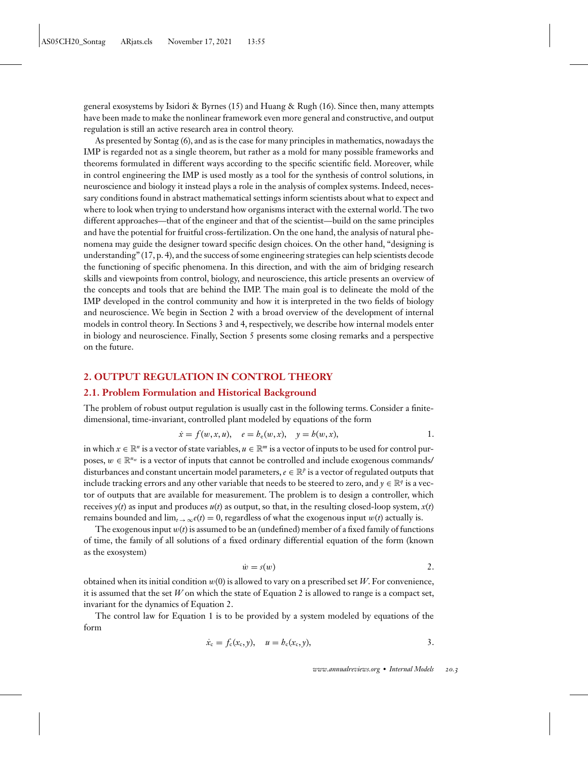<span id="page-2-0"></span>general exosystems by Isidori & Byrnes [\(15\)](#page-21-0) and Huang & Rugh [\(16\)](#page-21-0). Since then, many attempts have been made to make the nonlinear framework even more general and constructive, and output regulation is still an active research area in control theory.

As presented by Sontag [\(6\)](#page-20-0), and as is the case for many principles in mathematics, nowadays the IMP is regarded not as a single theorem, but rather as a mold for many possible frameworks and theorems formulated in different ways according to the specific scientific field. Moreover, while in control engineering the IMP is used mostly as a tool for the synthesis of control solutions, in neuroscience and biology it instead plays a role in the analysis of complex systems. Indeed, necessary conditions found in abstract mathematical settings inform scientists about what to expect and where to look when trying to understand how organisms interact with the external world. The two different approaches—that of the engineer and that of the scientist—build on the same principles and have the potential for fruitful cross-fertilization. On the one hand, the analysis of natural phenomena may guide the designer toward specific design choices. On the other hand, "designing is understanding"  $(17, p. 4)$  $(17, p. 4)$ , and the success of some engineering strategies can help scientists decode the functioning of specific phenomena. In this direction, and with the aim of bridging research skills and viewpoints from control, biology, and neuroscience, this article presents an overview of the concepts and tools that are behind the IMP. The main goal is to delineate the mold of the IMP developed in the control community and how it is interpreted in the two fields of biology and neuroscience. We begin in Section 2 with a broad overview of the development of internal models in control theory. In Sections 3 and 4, respectively, we describe how internal models enter in biology and neuroscience. Finally, Section 5 presents some closing remarks and a perspective on the future.

## **2. OUTPUT REGULATION IN CONTROL THEORY**

# **2.1. Problem Formulation and Historical Background**

The problem of robust output regulation is usually cast in the following terms. Consider a finitedimensional, time-invariant, controlled plant modeled by equations of the form

$$
\dot{x} = f(w, x, u), \quad e = b_e(w, x), \quad y = b(w, x),
$$
 1.

in which  $x \in \mathbb{R}^n$  is a vector of state variables,  $u \in \mathbb{R}^m$  is a vector of inputs to be used for control purposes,  $w \in \mathbb{R}^{n_w}$  is a vector of inputs that cannot be controlled and include exogenous commands/ disturbances and constant uncertain model parameters,  $e \in \mathbb{R}^p$  is a vector of regulated outputs that include tracking errors and any other variable that needs to be steered to zero, and  $\gamma \in \mathbb{R}^q$  is a vector of outputs that are available for measurement. The problem is to design a controller, which receives  $y(t)$  as input and produces  $u(t)$  as output, so that, in the resulting closed-loop system,  $x(t)$ remains bounded and  $\lim_{t\to\infty} e(t) = 0$ , regardless of what the exogenous input  $w(t)$  actually is.

The exogenous input *w*(*t*) is assumed to be an (undefined) member of a fixed family of functions of time, the family of all solutions of a fixed ordinary differential equation of the form (known as the exosystem)

$$
\dot{w} = s(w) \tag{2.}
$$

obtained when its initial condition *w*(0) is allowed to vary on a prescribed set *W*. For convenience, it is assumed that the set *W* on which the state of Equation 2 is allowed to range is a compact set, invariant for the dynamics of Equation 2.

The control law for Equation 1 is to be provided by a system modeled by equations of the form

$$
\dot{x}_{c} = f_{c}(x_{c}, y), \quad u = b_{c}(x_{c}, y), \tag{3}
$$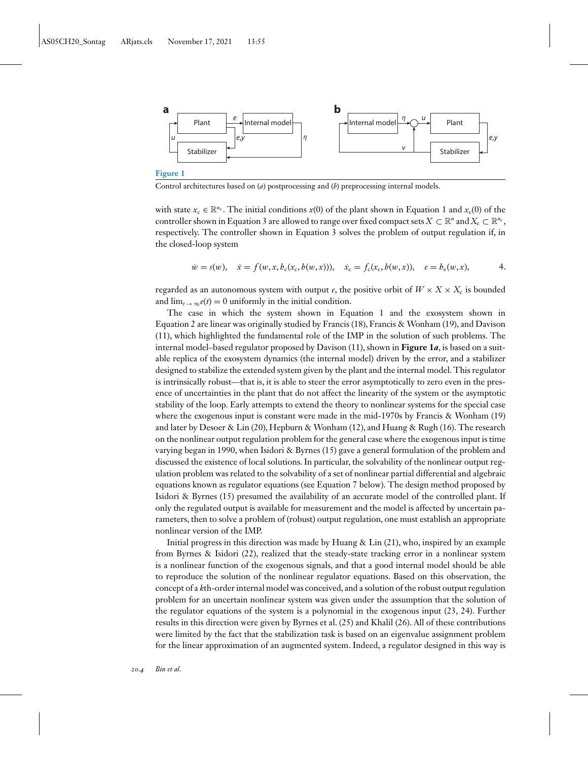<span id="page-3-0"></span>

Control architectures based on (*a*) postprocessing and (*b*) preprocessing internal models.

with state  $x_c \in \mathbb{R}^{n_c}$ . The initial conditions  $x(0)$  of the plant shown in [Equation 1](#page-2-0) and  $x_c(0)$  of the controller shown in [Equation 3](#page-2-0) are allowed to range over fixed compact sets  $X \subset \mathbb{R}^n$  and  $X_c \subset \mathbb{R}^{n_c}$ , respectively. The controller shown in [Equation 3](#page-2-0) solves the problem of output regulation if, in the closed-loop system

$$
\dot{w} = s(w), \quad \dot{x} = f(w, x, b_c(x_c, b(w, x))), \quad \dot{x}_c = f_c(x_c, b(w, x)), \quad e = b_e(w, x), \tag{4.}
$$

regarded as an autonomous system with output *e*, the positive orbit of  $W \times X \times X_c$  is bounded and  $\lim_{t\to\infty}e(t) = 0$  uniformly in the initial condition.

The case in which the system shown in [Equation 1](#page-2-0) and the exosystem shown in [Equation 2](#page-2-0) are linear was originally studied by Francis [\(18\)](#page-21-0), Francis & Wonham [\(19\)](#page-21-0), and Davison [\(11\)](#page-21-0), which highlighted the fundamental role of the IMP in the solution of such problems. The internal model–based regulator proposed by Davison [\(11\)](#page-21-0), shown in **Figure 1***a*, is based on a suitable replica of the exosystem dynamics (the internal model) driven by the error, and a stabilizer designed to stabilize the extended system given by the plant and the internal model. This regulator is intrinsically robust—that is, it is able to steer the error asymptotically to zero even in the presence of uncertainties in the plant that do not affect the linearity of the system or the asymptotic stability of the loop. Early attempts to extend the theory to nonlinear systems for the special case where the exogenous input is constant were made in the mid-1970s by Francis & Wonham [\(19\)](#page-21-0) and later by Desoer & Lin [\(20\)](#page-21-0), Hepburn & Wonham [\(12\)](#page-21-0), and Huang & Rugh [\(16\)](#page-21-0). The research on the nonlinear output regulation problem for the general case where the exogenous input is time varying began in 1990, when Isidori & Byrnes [\(15\)](#page-21-0) gave a general formulation of the problem and discussed the existence of local solutions. In particular, the solvability of the nonlinear output regulation problem was related to the solvability of a set of nonlinear partial differential and algebraic equations known as regulator equations (see [Equation 7](#page-4-0) below). The design method proposed by Isidori & Byrnes [\(15\)](#page-21-0) presumed the availability of an accurate model of the controlled plant. If only the regulated output is available for measurement and the model is affected by uncertain parameters, then to solve a problem of (robust) output regulation, one must establish an appropriate nonlinear version of the IMP.

Initial progress in this direction was made by Huang & Lin  $(21)$ , who, inspired by an example from Byrnes & Isidori [\(22\)](#page-21-0), realized that the steady-state tracking error in a nonlinear system is a nonlinear function of the exogenous signals, and that a good internal model should be able to reproduce the solution of the nonlinear regulator equations. Based on this observation, the concept of a *k*th-order internal model was conceived, and a solution of the robust output regulation problem for an uncertain nonlinear system was given under the assumption that the solution of the regulator equations of the system is a polynomial in the exogenous input [\(23, 24\)](#page-21-0). Further results in this direction were given by Byrnes et al. [\(25\)](#page-21-0) and Khalil [\(26\)](#page-21-0). All of these contributions were limited by the fact that the stabilization task is based on an eigenvalue assignment problem for the linear approximation of an augmented system. Indeed, a regulator designed in this way is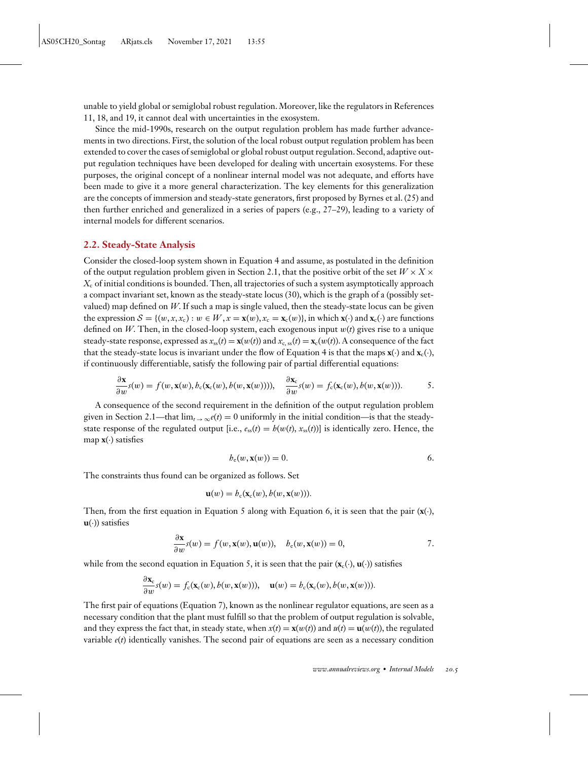<span id="page-4-0"></span>unable to yield global or semiglobal robust regulation. Moreover, like the regulators in References [11, 18,](#page-21-0) and [19,](#page-21-0) it cannot deal with uncertainties in the exosystem.

Since the mid-1990s, research on the output regulation problem has made further advancements in two directions. First, the solution of the local robust output regulation problem has been extended to cover the cases of semiglobal or global robust output regulation. Second, adaptive output regulation techniques have been developed for dealing with uncertain exosystems. For these purposes, the original concept of a nonlinear internal model was not adequate, and efforts have been made to give it a more general characterization. The key elements for this generalization are the concepts of immersion and steady-state generators, first proposed by Byrnes et al. [\(25\)](#page-21-0) and then further enriched and generalized in a series of papers (e.g., [27–29\)](#page-21-0), leading to a variety of internal models for different scenarios.

#### **2.2. Steady-State Analysis**

Consider the closed-loop system shown in [Equation 4](#page-3-0) and assume, as postulated in the definition of the output regulation problem given in Section 2.1, that the positive orbit of the set  $W \times X \times$ *X*<sup>c</sup> of initial conditions is bounded. Then, all trajectories of such a system asymptotically approach a compact invariant set, known as the steady-state locus [\(30\)](#page-21-0), which is the graph of a (possibly setvalued) map defined on *W*. If such a map is single valued, then the steady-state locus can be given the expression  $S = \{(w, x, x_c) : w \in W, x = \mathbf{x}(w), x_c = \mathbf{x}_c(w)\}\)$ , in which  $\mathbf{x}(\cdot)$  and  $\mathbf{x}_c(\cdot)$  are functions defined on *W*. Then, in the closed-loop system, each exogenous input *w*(*t*) gives rise to a unique steady-state response, expressed as  $x_{ss}(t) = \mathbf{x}(w(t))$  and  $x_{c, ss}(t) = \mathbf{x}_c(w(t))$ . A consequence of the fact that the steady-state locus is invariant under the flow of [Equation 4](#page-3-0) is that the maps  $\mathbf{x}(\cdot)$  and  $\mathbf{x}_c(\cdot)$ , if continuously differentiable, satisfy the following pair of partial differential equations:

$$
\frac{\partial \mathbf{x}}{\partial w}s(w) = f(w, \mathbf{x}(w), b_c(\mathbf{x}_c(w), b(w, \mathbf{x}(w))))
$$
\n
$$
\frac{\partial \mathbf{x}_c}{\partial w}s(w) = f_c(\mathbf{x}_c(w), b(w, \mathbf{x}(w))).
$$
\n<sup>5.</sup>

A consequence of the second requirement in the definition of the output regulation problem given in Section 2.1—that  $\lim_{t\to\infty}e(t) = 0$  uniformly in the initial condition—is that the steadystate response of the regulated output [i.e.,  $e_{ss}(t) = h(w(t), x_{ss}(t))$ ] is identically zero. Hence, the map  $\mathbf{x}(\cdot)$  satisfies

*h*<sup>e</sup> (*w*, **x**(*w*)) = 0. 6.

The constraints thus found can be organized as follows. Set

$$
\mathbf{u}(w) = h_c(\mathbf{x}_c(w), b(w, \mathbf{x}(w))).
$$

Then, from the first equation in Equation 5 along with Equation 6, it is seen that the pair  $(\mathbf{x}(\cdot),$  $\mathbf{u}(\cdot)$ ) satisfies

$$
\frac{\partial \mathbf{x}}{\partial w} s(w) = f(w, \mathbf{x}(w), \mathbf{u}(w)), \quad b_{e}(w, \mathbf{x}(w)) = 0,
$$
7.

while from the second equation in Equation 5, it is seen that the pair  $(\mathbf{x}_c(\cdot), \mathbf{u}(\cdot))$  satisfies

$$
\frac{\partial \mathbf{x}_c}{\partial w} s(w) = f_c(\mathbf{x}_c(w), b(w, \mathbf{x}(w))), \quad \mathbf{u}(w) = b_c(\mathbf{x}_c(w), b(w, \mathbf{x}(w))).
$$

The first pair of equations (Equation 7), known as the nonlinear regulator equations, are seen as a necessary condition that the plant must fulfill so that the problem of output regulation is solvable, and they express the fact that, in steady state, when  $x(t) = \mathbf{x}(w(t))$  and  $u(t) = \mathbf{u}(w(t))$ , the regulated variable  $e(t)$  identically vanishes. The second pair of equations are seen as a necessary condition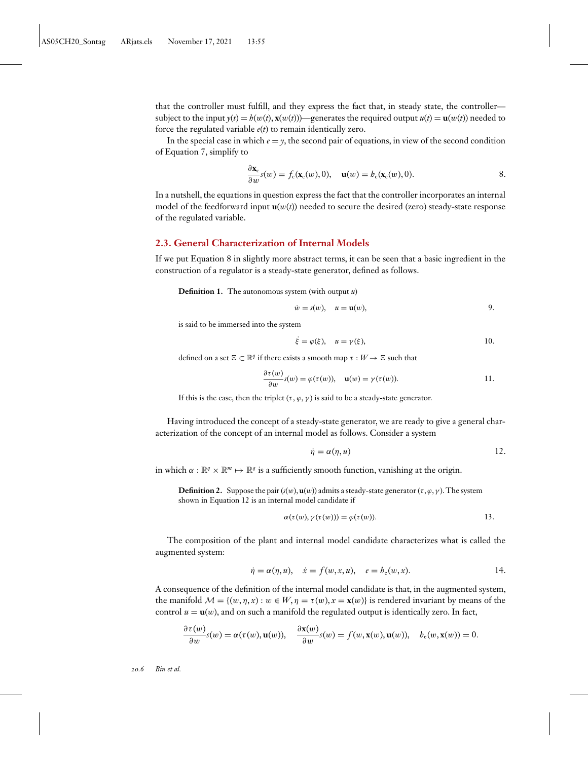<span id="page-5-0"></span>that the controller must fulfill, and they express the fact that, in steady state, the controller subject to the input  $y(t) = h(w(t), \mathbf{x}(w(t)))$ —generates the required output  $u(t) = \mathbf{u}(w(t))$  needed to force the regulated variable *e*(*t*) to remain identically zero.

In the special case in which  $e = \gamma$ , the second pair of equations, in view of the second condition of [Equation 7,](#page-4-0) simplify to

$$
\frac{\partial \mathbf{x}_c}{\partial w} s(w) = f_c(\mathbf{x}_c(w), 0), \quad \mathbf{u}(w) = h_c(\mathbf{x}_c(w), 0).
$$
8.

In a nutshell, the equations in question express the fact that the controller incorporates an internal model of the feedforward input  $\mathbf{u}(w(t))$  needed to secure the desired (zero) steady-state response of the regulated variable.

# **2.3. General Characterization of Internal Models**

If we put Equation 8 in slightly more abstract terms, it can be seen that a basic ingredient in the construction of a regulator is a steady-state generator, defined as follows.

**Definition 1.** The autonomous system (with output *u*)

$$
\dot{w} = s(w), \quad u = \mathbf{u}(w), \tag{9}
$$

is said to be immersed into the system

$$
\dot{\xi} = \varphi(\xi), \quad u = \gamma(\xi), \tag{10}
$$

defined on a set  $\Xi \subset \mathbb{R}^q$  if there exists a smooth map  $\tau : W \to \Xi$  such that

$$
\frac{\partial \tau(w)}{\partial w}s(w) = \varphi(\tau(w)), \quad \mathbf{u}(w) = \gamma(\tau(w)). \tag{11}.
$$

If this is the case, then the triplet  $(\tau, \varphi, \gamma)$  is said to be a steady-state generator.

Having introduced the concept of a steady-state generator, we are ready to give a general characterization of the concept of an internal model as follows. Consider a system

$$
\dot{\eta} = \alpha(\eta, u) \tag{12}
$$

in which  $\alpha : \mathbb{R}^q \times \mathbb{R}^m \mapsto \mathbb{R}^q$  is a sufficiently smooth function, vanishing at the origin.

**Definition 2.** Suppose the pair  $(s(w), \mathbf{u}(w))$  admits a steady-state generator  $(\tau, \varphi, \gamma)$ . The system shown in Equation 12 is an internal model candidate if

$$
\alpha(\tau(w), \gamma(\tau(w))) = \varphi(\tau(w)). \tag{13}.
$$

The composition of the plant and internal model candidate characterizes what is called the augmented system:

$$
\dot{\eta} = \alpha(\eta, u), \quad \dot{x} = f(w, x, u), \quad e = b_e(w, x).
$$
 14.

A consequence of the definition of the internal model candidate is that, in the augmented system, the manifold  $\mathcal{M} = \{(w, \eta, x) : w \in W, \eta = \tau(w), x = \mathbf{x}(w)\}\$ is rendered invariant by means of the control  $u = u(w)$ , and on such a manifold the regulated output is identically zero. In fact,

$$
\frac{\partial \tau(w)}{\partial w}s(w) = \alpha(\tau(w), \mathbf{u}(w)), \quad \frac{\partial \mathbf{x}(w)}{\partial w}s(w) = f(w, \mathbf{x}(w), \mathbf{u}(w)), \quad b_{e}(w, \mathbf{x}(w)) = 0.
$$

*20.6 Bin et al.*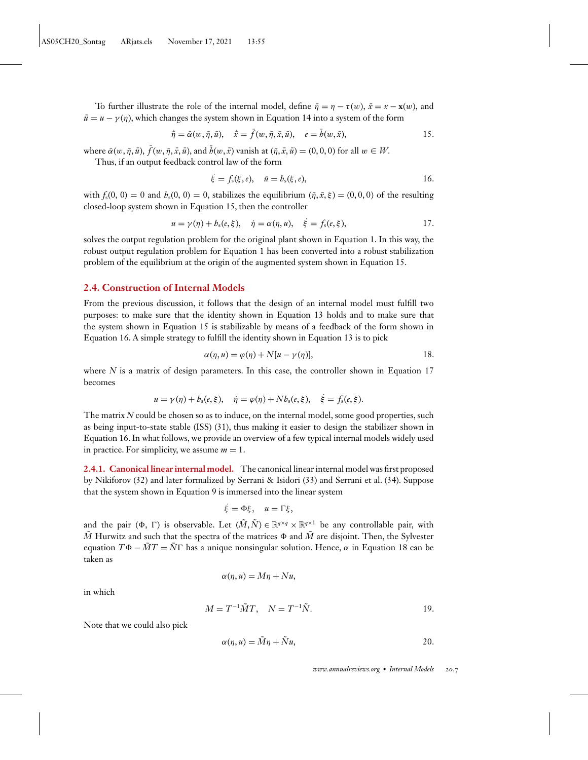<span id="page-6-0"></span>To further illustrate the role of the internal model, define  $\bar{\eta} = \eta - \tau(w)$ ,  $\bar{x} = x - \mathbf{x}(w)$ , and  $\bar{u} = u - \gamma(\eta)$ , which changes the system shown in [Equation 14](#page-5-0) into a system of the form

$$
\dot{\bar{\eta}} = \bar{\alpha}(w, \bar{\eta}, \bar{u}), \quad \dot{\bar{x}} = \bar{f}(w, \bar{\eta}, \bar{x}, \bar{u}), \quad e = \bar{b}(w, \bar{x}), \tag{15}
$$

where  $\bar{\alpha}(w, \bar{\eta}, \bar{u}), \bar{f}(w, \bar{\eta}, \bar{x}, \bar{u})$ , and  $\bar{b}(w, \bar{x})$  vanish at  $(\bar{\eta}, \bar{x}, \bar{u}) = (0, 0, 0)$  for all  $w \in W$ .

Thus, if an output feedback control law of the form

$$
\dot{\xi} = f_{s}(\xi, e), \quad \bar{u} = h_{s}(\xi, e), \tag{16}
$$

with  $f_s(0, 0) = 0$  and  $h_s(0, 0) = 0$ , stabilizes the equilibrium  $(\bar{\eta}, \bar{x}, \xi) = (0, 0, 0)$  of the resulting closed-loop system shown in Equation 15, then the controller

$$
u = \gamma(\eta) + b_s(e, \xi), \quad \dot{\eta} = \alpha(\eta, u), \quad \dot{\xi} = f_s(e, \xi),
$$
 17.

solves the output regulation problem for the original plant shown in [Equation 1.](#page-2-0) In this way, the robust output regulation problem for [Equation 1](#page-2-0) has been converted into a robust stabilization problem of the equilibrium at the origin of the augmented system shown in Equation 15.

### **2.4. Construction of Internal Models**

From the previous discussion, it follows that the design of an internal model must fulfill two purposes: to make sure that the identity shown in [Equation 13](#page-5-0) holds and to make sure that the system shown in Equation 15 is stabilizable by means of a feedback of the form shown in Equation 16. A simple strategy to fulfill the identity shown in [Equation 13](#page-5-0) is to pick

$$
\alpha(\eta, u) = \varphi(\eta) + N[u - \gamma(\eta)], \qquad \qquad 18.
$$

where *N* is a matrix of design parameters. In this case, the controller shown in Equation 17 becomes

$$
u = \gamma(\eta) + b_s(e, \xi), \quad \dot{\eta} = \varphi(\eta) + Nb_s(e, \xi), \quad \dot{\xi} = f_s(e, \xi).
$$

The matrix *N* could be chosen so as to induce, on the internal model, some good properties, such as being input-to-state stable (ISS) [\(31\)](#page-21-0), thus making it easier to design the stabilizer shown in Equation 16. In what follows, we provide an overview of a few typical internal models widely used in practice. For simplicity, we assume  $m = 1$ .

**2.4.1. Canonical linear internal model.** The canonical linear internal model was first proposed by Nikiforov [\(32\)](#page-21-0) and later formalized by Serrani & Isidori [\(33\)](#page-21-0) and Serrani et al. [\(34\)](#page-21-0). Suppose that the system shown in [Equation 9](#page-5-0) is immersed into the linear system

$$
\dot{\xi} = \Phi \xi, \quad u = \Gamma \xi,
$$

and the pair ( $\Phi$ ,  $\Gamma$ ) is observable. Let  $(\tilde{M}, \tilde{N}) \in \mathbb{R}^{q \times q} \times \mathbb{R}^{q \times 1}$  be any controllable pair, with  $\tilde{M}$  Hurwitz and such that the spectra of the matrices  $\Phi$  and  $\tilde{M}$  are disjoint. Then, the Sylvester equation  $T\Phi - \tilde{M}T = \tilde{N}\Gamma$  has a unique nonsingular solution. Hence,  $\alpha$  in Equation 18 can be taken as

$$
\alpha(\eta, u) = M\eta + Nu,
$$

in which

$$
M = T^{-1}\tilde{M}T, \quad N = T^{-1}\tilde{N}.
$$

Note that we could also pick

$$
\alpha(\eta, u) = \tilde{M}\eta + \tilde{N}u, \qquad 20.
$$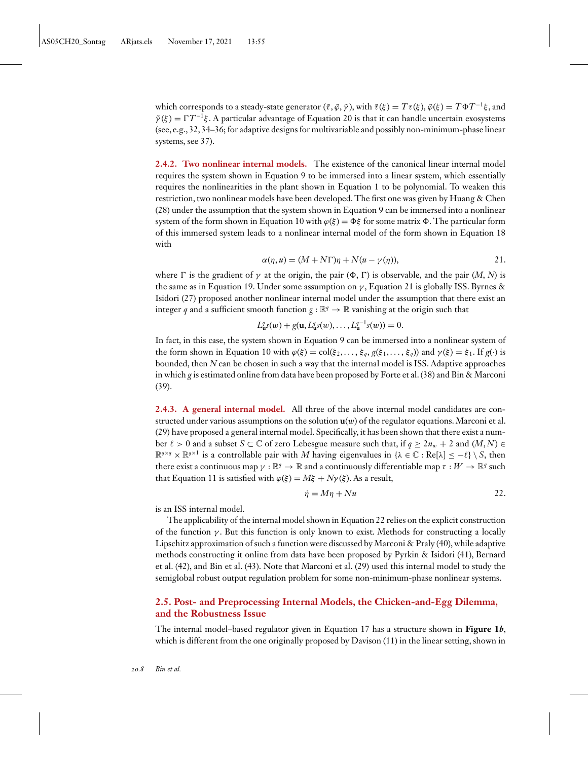which corresponds to a steady-state generator  $(\tilde{\tau}, \tilde{\varphi}, \tilde{\gamma})$ , with  $\tilde{\tau}(\xi) = T\tau(\xi), \tilde{\varphi}(\xi) = T\Phi T^{-1}\xi$ , and  $\tilde{\gamma}(\xi) = \Gamma T^{-1}\xi$ . A particular advantage of [Equation 20](#page-6-0) is that it can handle uncertain exosystems (see, e.g., [32, 34–36;](#page-21-0) for adaptive designs for multivariable and possibly non-minimum-phase linear systems, see [37\)](#page-21-0).

**2.4.2. Two nonlinear internal models.** The existence of the canonical linear internal model requires the system shown in [Equation 9](#page-5-0) to be immersed into a linear system, which essentially requires the nonlinearities in the plant shown in [Equation 1](#page-2-0) to be polynomial. To weaken this restriction, two nonlinear models have been developed. The first one was given by Huang & Chen [\(28\)](#page-21-0) under the assumption that the system shown in [Equation 9](#page-5-0) can be immersed into a nonlinear system of the form shown in [Equation 10](#page-5-0) with  $\varphi(\xi) = \Phi\xi$  for some matrix  $\Phi$ . The particular form of this immersed system leads to a nonlinear internal model of the form shown in [Equation 18](#page-6-0) with

$$
\alpha(\eta, u) = (M + N\Gamma)\eta + N(u - \gamma(\eta)), \qquad (21.
$$

where  $\Gamma$  is the gradient of  $\gamma$  at the origin, the pair  $(\Phi, \Gamma)$  is observable, and the pair  $(M, N)$  is the same as in [Equation 19.](#page-6-0) Under some assumption on  $\gamma$ , Equation 21 is globally ISS. Byrnes & Isidori [\(27\)](#page-21-0) proposed another nonlinear internal model under the assumption that there exist an integer *q* and a sufficient smooth function  $g : \mathbb{R}^q \to \mathbb{R}$  vanishing at the origin such that

$$
L^q_{\mathbf{u}}s(w) + g(\mathbf{u}, L^q_{\mathbf{u}}s(w), \dots, L^{q-1}_{\mathbf{u}}s(w)) = 0.
$$

In fact, in this case, the system shown in [Equation 9](#page-5-0) can be immersed into a nonlinear system of the form shown in [Equation 10](#page-5-0) with  $\varphi(\xi) = \text{col}(\xi_2, \ldots, \xi_q, g(\xi_1, \ldots, \xi_q))$  and  $\gamma(\xi) = \xi_1$ . If  $g(\cdot)$  is bounded, then *N* can be chosen in such a way that the internal model is ISS. Adaptive approaches in which *g* is estimated online from data have been proposed by Forte et al. [\(38\)](#page-22-0) and Bin & Marconi [\(39\)](#page-22-0).

**2.4.3. A general internal model.** All three of the above internal model candidates are constructed under various assumptions on the solution **u**(*w*) of the regulator equations. Marconi et al. [\(29\)](#page-21-0) have proposed a general internal model. Specifically, it has been shown that there exist a number  $\ell > 0$  and a subset  $S \subset \mathbb{C}$  of zero Lebesgue measure such that, if  $q \geq 2n_w + 2$  and  $(M, N) \in$  $\mathbb{R}^{q \times q} \times \mathbb{R}^{q \times 1}$  is a controllable pair with *M* having eigenvalues in { $\lambda \in \mathbb{C} : \text{Re}[\lambda] \leq -\ell$ } \ *S*, then there exist a continuous map  $\gamma : \mathbb{R}^q \to \mathbb{R}$  and a continuously differentiable map  $\tau : W \to \mathbb{R}^q$  such that [Equation 11](#page-5-0) is satisfied with  $\varphi(\xi) = M\xi + N\gamma(\xi)$ . As a result,

$$
\dot{\eta} = M\eta + Nu \tag{22}
$$

is an ISS internal model.

The applicability of the internal model shown in Equation 22 relies on the explicit construction of the function  $\gamma$ . But this function is only known to exist. Methods for constructing a locally Lipschitz approximation of such a function were discussed by Marconi & Praly [\(40\)](#page-22-0), while adaptive methods constructing it online from data have been proposed by Pyrkin & Isidori [\(41\)](#page-22-0), Bernard et al. [\(42\)](#page-22-0), and Bin et al. [\(43\)](#page-22-0). Note that Marconi et al. [\(29\)](#page-21-0) used this internal model to study the semiglobal robust output regulation problem for some non-minimum-phase nonlinear systems.

# **2.5. Post- and Preprocessing Internal Models, the Chicken-and-Egg Dilemma, and the Robustness Issue**

The internal model–based regulator given in [Equation 17](#page-6-0) has a structure shown in **[Figure 1](#page-3-0)***b*, which is different from the one originally proposed by Davison [\(11\)](#page-21-0) in the linear setting, shown in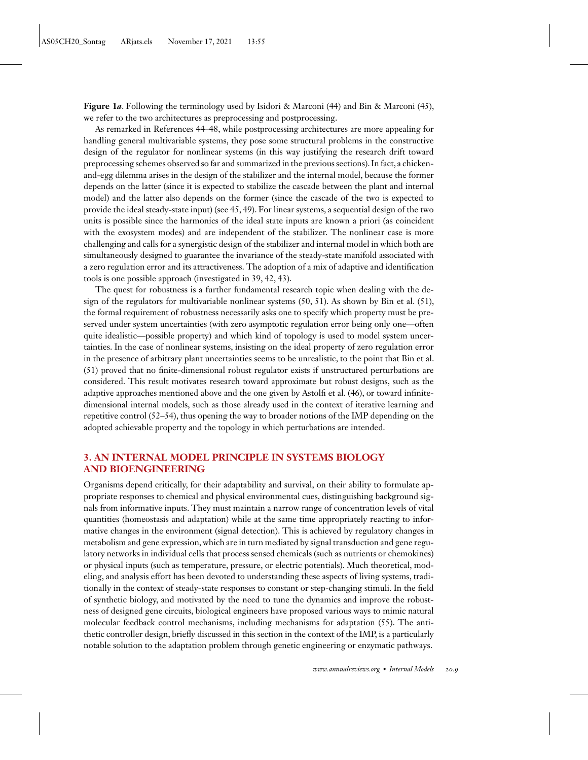**[Figure 1](#page-3-0)***a*. Following the terminology used by Isidori & Marconi [\(44\)](#page-22-0) and Bin & Marconi [\(45\)](#page-22-0), we refer to the two architectures as preprocessing and postprocessing.

As remarked in References [44–48,](#page-22-0) while postprocessing architectures are more appealing for handling general multivariable systems, they pose some structural problems in the constructive design of the regulator for nonlinear systems (in this way justifying the research drift toward preprocessing schemes observed so far and summarized in the previous sections). In fact, a chickenand-egg dilemma arises in the design of the stabilizer and the internal model, because the former depends on the latter (since it is expected to stabilize the cascade between the plant and internal model) and the latter also depends on the former (since the cascade of the two is expected to provide the ideal steady-state input) (see [45, 49\)](#page-22-0). For linear systems, a sequential design of the two units is possible since the harmonics of the ideal state inputs are known a priori (as coincident with the exosystem modes) and are independent of the stabilizer. The nonlinear case is more challenging and calls for a synergistic design of the stabilizer and internal model in which both are simultaneously designed to guarantee the invariance of the steady-state manifold associated with a zero regulation error and its attractiveness. The adoption of a mix of adaptive and identification tools is one possible approach (investigated in [39, 42, 43\)](#page-22-0).

The quest for robustness is a further fundamental research topic when dealing with the design of the regulators for multivariable nonlinear systems [\(50, 51\)](#page-22-0). As shown by Bin et al. [\(51\)](#page-22-0), the formal requirement of robustness necessarily asks one to specify which property must be preserved under system uncertainties (with zero asymptotic regulation error being only one—often quite idealistic—possible property) and which kind of topology is used to model system uncertainties. In the case of nonlinear systems, insisting on the ideal property of zero regulation error in the presence of arbitrary plant uncertainties seems to be unrealistic, to the point that Bin et al. [\(51\)](#page-22-0) proved that no finite-dimensional robust regulator exists if unstructured perturbations are considered. This result motivates research toward approximate but robust designs, such as the adaptive approaches mentioned above and the one given by Astolfi et al. [\(46\)](#page-22-0), or toward infinitedimensional internal models, such as those already used in the context of iterative learning and repetitive control [\(52–54\)](#page-22-0), thus opening the way to broader notions of the IMP depending on the adopted achievable property and the topology in which perturbations are intended.

# **3. AN INTERNAL MODEL PRINCIPLE IN SYSTEMS BIOLOGY AND BIOENGINEERING**

Organisms depend critically, for their adaptability and survival, on their ability to formulate appropriate responses to chemical and physical environmental cues, distinguishing background signals from informative inputs. They must maintain a narrow range of concentration levels of vital quantities (homeostasis and adaptation) while at the same time appropriately reacting to informative changes in the environment (signal detection). This is achieved by regulatory changes in metabolism and gene expression, which are in turn mediated by signal transduction and gene regulatory networks in individual cells that process sensed chemicals (such as nutrients or chemokines) or physical inputs (such as temperature, pressure, or electric potentials). Much theoretical, modeling, and analysis effort has been devoted to understanding these aspects of living systems, traditionally in the context of steady-state responses to constant or step-changing stimuli. In the field of synthetic biology, and motivated by the need to tune the dynamics and improve the robustness of designed gene circuits, biological engineers have proposed various ways to mimic natural molecular feedback control mechanisms, including mechanisms for adaptation [\(55\)](#page-22-0). The antithetic controller design, briefly discussed in this section in the context of the IMP, is a particularly notable solution to the adaptation problem through genetic engineering or enzymatic pathways.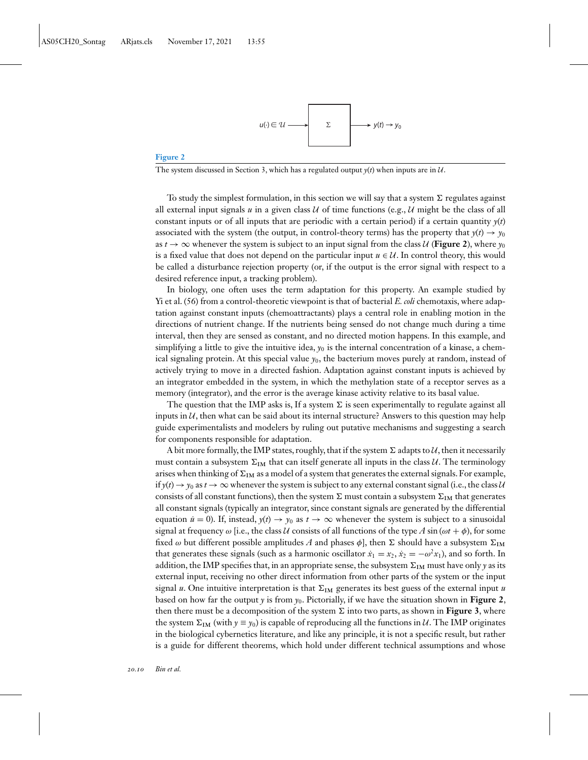

### **Figure 2**

The system discussed in Section 3, which has a regulated output  $y(t)$  when inputs are in  $U$ .

To study the simplest formulation, in this section we will say that a system  $\Sigma$  regulates against all external input signals  $u$  in a given class  $U$  of time functions (e.g.,  $U$  might be the class of all constant inputs or of all inputs that are periodic with a certain period) if a certain quantity  $y(t)$ associated with the system (the output, in control-theory terms) has the property that  $y(t) \rightarrow y_0$ as  $t \to \infty$  whenever the system is subject to an input signal from the class  $U$  (**Figure 2**), where  $y_0$ is a fixed value that does not depend on the particular input  $u \in \mathcal{U}$ . In control theory, this would be called a disturbance rejection property (or, if the output is the error signal with respect to a desired reference input, a tracking problem).

In biology, one often uses the term adaptation for this property. An example studied by Yi et al. [\(56\)](#page-22-0) from a control-theoretic viewpoint is that of bacterial *E. coli* chemotaxis, where adaptation against constant inputs (chemoattractants) plays a central role in enabling motion in the directions of nutrient change. If the nutrients being sensed do not change much during a time interval, then they are sensed as constant, and no directed motion happens. In this example, and simplifying a little to give the intuitive idea,  $y_0$  is the internal concentration of a kinase, a chemical signaling protein. At this special value *y*0, the bacterium moves purely at random, instead of actively trying to move in a directed fashion. Adaptation against constant inputs is achieved by an integrator embedded in the system, in which the methylation state of a receptor serves as a memory (integrator), and the error is the average kinase activity relative to its basal value.

The question that the IMP asks is, If a system  $\Sigma$  is seen experimentally to regulate against all inputs in  $U$ , then what can be said about its internal structure? Answers to this question may help guide experimentalists and modelers by ruling out putative mechanisms and suggesting a search for components responsible for adaptation.

A bit more formally, the IMP states, roughly, that if the system  $\Sigma$  adapts to  $\mathcal{U}$ , then it necessarily must contain a subsystem  $\Sigma_{IM}$  that can itself generate all inputs in the class *U*. The terminology arises when thinking of  $\Sigma_{IM}$  as a model of a system that generates the external signals. For example, if  $y(t) \to y_0$  as  $t \to \infty$  whenever the system is subject to any external constant signal (i.e., the class *U* consists of all constant functions), then the system  $\Sigma$  must contain a subsystem  $\Sigma_{IM}$  that generates all constant signals (typically an integrator, since constant signals are generated by the differential equation  $\dot{u} = 0$ ). If, instead,  $y(t) \rightarrow y_0$  as  $t \rightarrow \infty$  whenever the system is subject to a sinusoidal signal at frequency  $\omega$  [i.e., the class *U* consists of all functions of the type *A* sin ( $\omega t + \phi$ ), for some fixed  $\omega$  but different possible amplitudes *A* and phases  $\phi$ ], then  $\Sigma$  should have a subsystem  $\Sigma_{IM}$ that generates these signals (such as a harmonic oscillator  $\dot{x}_1 = x_2$ ,  $\dot{x}_2 = -\omega^2 x_1$ ), and so forth. In addition, the IMP specifies that, in an appropriate sense, the subsystem  $\Sigma_{IM}$  must have only *y* as its external input, receiving no other direct information from other parts of the system or the input signal *u*. One intuitive interpretation is that  $\Sigma_{IM}$  generates its best guess of the external input *u* based on how far the output  $\gamma$  is from  $\gamma_0$ . Pictorially, if we have the situation shown in **Figure 2**, then there must be a decomposition of the system  $\Sigma$  into two parts, as shown in **[Figure 3](#page-10-0)**, where the system  $\Sigma_{IM}$  (with  $y \equiv y_0$ ) is capable of reproducing all the functions in *U*. The IMP originates in the biological cybernetics literature, and like any principle, it is not a specific result, but rather is a guide for different theorems, which hold under different technical assumptions and whose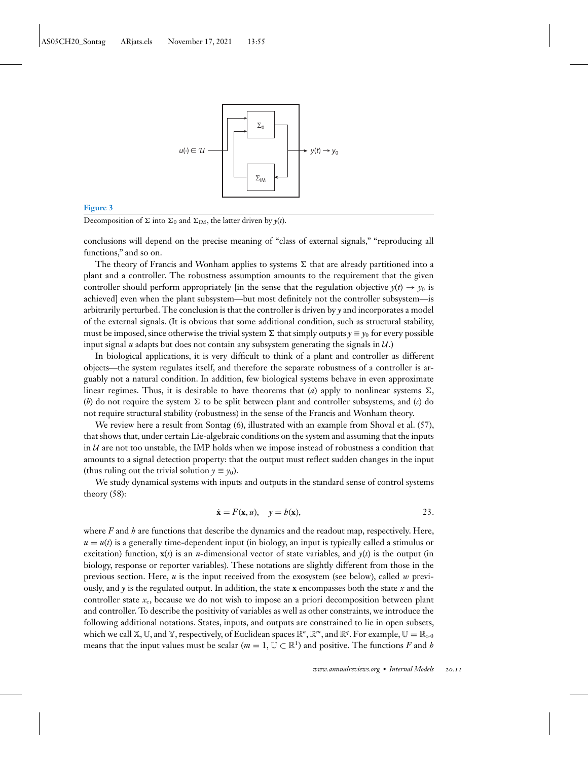<span id="page-10-0"></span>

#### **Figure 3**

Decomposition of  $\Sigma$  into  $\Sigma_0$  and  $\Sigma_{IM}$ , the latter driven by *y*(*t*).

conclusions will depend on the precise meaning of "class of external signals," "reproducing all functions," and so on.

The theory of Francis and Wonham applies to systems  $\Sigma$  that are already partitioned into a plant and a controller. The robustness assumption amounts to the requirement that the given controller should perform appropriately [in the sense that the regulation objective  $y(t) \rightarrow y_0$  is achieved] even when the plant subsystem—but most definitely not the controller subsystem—is arbitrarily perturbed. The conclusion is that the controller is driven by *y* and incorporates a model of the external signals. (It is obvious that some additional condition, such as structural stability, must be imposed, since otherwise the trivial system  $\Sigma$  that simply outputs  $\gamma \equiv \gamma_0$  for every possible input signal *u* adapts but does not contain any subsystem generating the signals in  $U$ .)

In biological applications, it is very difficult to think of a plant and controller as different objects—the system regulates itself, and therefore the separate robustness of a controller is arguably not a natural condition. In addition, few biological systems behave in even approximate linear regimes. Thus, it is desirable to have theorems that  $(a)$  apply to nonlinear systems  $\Sigma$ , (*b*) do not require the system  $\Sigma$  to be split between plant and controller subsystems, and (*c*) do not require structural stability (robustness) in the sense of the Francis and Wonham theory.

We review here a result from Sontag [\(6\)](#page-20-0), illustrated with an example from Shoval et al. [\(57\)](#page-22-0), that shows that, under certain Lie-algebraic conditions on the system and assuming that the inputs in *U* are not too unstable, the IMP holds when we impose instead of robustness a condition that amounts to a signal detection property: that the output must reflect sudden changes in the input (thus ruling out the trivial solution  $y \equiv y_0$ ).

We study dynamical systems with inputs and outputs in the standard sense of control systems theory [\(58\)](#page-22-0):

$$
\dot{\mathbf{x}} = F(\mathbf{x}, u), \quad y = b(\mathbf{x}), \tag{23}
$$

where *F* and *h* are functions that describe the dynamics and the readout map, respectively. Here,  $u = u(t)$  is a generally time-dependent input (in biology, an input is typically called a stimulus or excitation) function,  $\mathbf{x}(t)$  is an *n*-dimensional vector of state variables, and  $y(t)$  is the output (in biology, response or reporter variables). These notations are slightly different from those in the previous section. Here, *u* is the input received from the exosystem (see below), called *w* previously, and *y* is the regulated output. In addition, the state **x** encompasses both the state *x* and the controller state *x*c, because we do not wish to impose an a priori decomposition between plant and controller. To describe the positivity of variables as well as other constraints, we introduce the following additional notations. States, inputs, and outputs are constrained to lie in open subsets, which we call X, U, and Y, respectively, of Euclidean spaces  $\mathbb{R}^n$ ,  $\mathbb{R}^m$ , and  $\mathbb{R}^q$ . For example,  $\mathbb{U} = \mathbb{R}_{>0}$ means that the input values must be scalar ( $m = 1$ ,  $\mathbb{U} \subset \mathbb{R}^1$ ) and positive. The functions *F* and *h*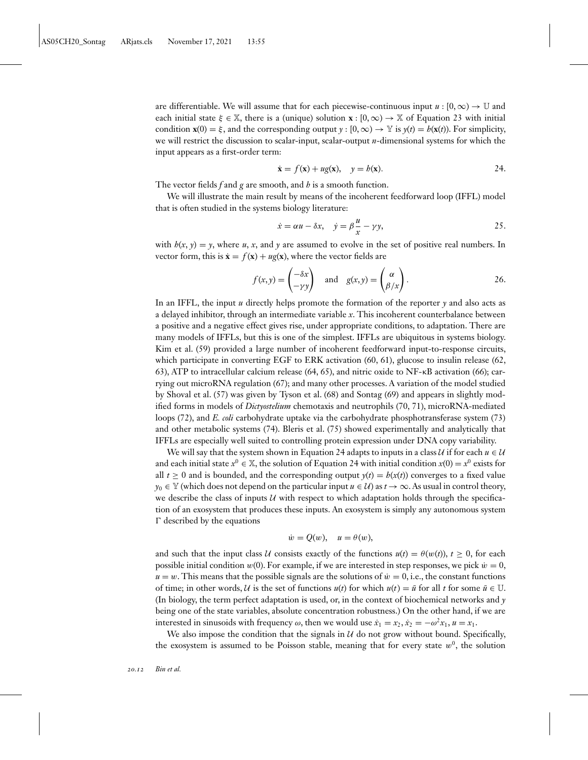<span id="page-11-0"></span>are differentiable. We will assume that for each piecewise-continuous input  $u : [0, \infty) \to \mathbb{U}$  and each initial state  $\xi \in \mathbb{X}$ , there is a (unique) solution **x** : [0, ∞)  $\rightarrow \mathbb{X}$  of [Equation 23](#page-10-0) with initial condition  $\mathbf{x}(0) = \xi$ , and the corresponding output  $\gamma : [0, \infty) \to \mathbb{Y}$  is  $\gamma(t) = b(\mathbf{x}(t))$ . For simplicity, we will restrict the discussion to scalar-input, scalar-output *n*-dimensional systems for which the input appears as a first-order term:

$$
\dot{\mathbf{x}} = f(\mathbf{x}) + ug(\mathbf{x}), \quad y = h(\mathbf{x}). \tag{24}
$$

The vector fields *f* and *g* are smooth, and *h* is a smooth function.

We will illustrate the main result by means of the incoherent feedforward loop (IFFL) model that is often studied in the systems biology literature:

$$
\dot{x} = \alpha u - \delta x, \quad \dot{y} = \beta \frac{u}{x} - \gamma y,
$$

with  $h(x, y) = y$ , where *u*, *x*, and *y* are assumed to evolve in the set of positive real numbers. In vector form, this is  $\dot{\mathbf{x}} = f(\mathbf{x}) + ug(\mathbf{x})$ , where the vector fields are

$$
f(x,y) = \begin{pmatrix} -\delta x \\ -\gamma y \end{pmatrix} \text{ and } g(x,y) = \begin{pmatrix} \alpha \\ \beta/x \end{pmatrix}.
$$
 26.

In an IFFL, the input *u* directly helps promote the formation of the reporter *y* and also acts as a delayed inhibitor, through an intermediate variable *x*. This incoherent counterbalance between a positive and a negative effect gives rise, under appropriate conditions, to adaptation. There are many models of IFFLs, but this is one of the simplest. IFFLs are ubiquitous in systems biology. Kim et al. [\(59\)](#page-22-0) provided a large number of incoherent feedforward input-to-response circuits, which participate in converting EGF to ERK activation [\(60, 61\)](#page-22-0), glucose to insulin release [\(62,](#page-23-0) [63\)](#page-23-0), ATP to intracellular calcium release [\(64, 65\)](#page-23-0), and nitric oxide to NF-κB activation [\(66\)](#page-23-0); carrying out microRNA regulation [\(67\)](#page-23-0); and many other processes. A variation of the model studied by Shoval et al. [\(57\)](#page-22-0) was given by Tyson et al. [\(68\)](#page-23-0) and Sontag [\(69\)](#page-23-0) and appears in slightly modified forms in models of *Dictyostelium* chemotaxis and neutrophils [\(70, 71\)](#page-23-0), microRNA-mediated loops [\(72\)](#page-23-0), and *E. coli* carbohydrate uptake via the carbohydrate phosphotransferase system [\(73\)](#page-23-0) and other metabolic systems [\(74\)](#page-23-0). Bleris et al. [\(75\)](#page-23-0) showed experimentally and analytically that IFFLs are especially well suited to controlling protein expression under DNA copy variability.

We will say that the system shown in Equation 24 adapts to inputs in a class  $U$  if for each  $u \in U$ and each initial state  $x^0 \in \mathbb{X}$ , the solution of Equation 24 with initial condition  $x(0) = x^0$  exists for all  $t \ge 0$  and is bounded, and the corresponding output  $y(t) = h(x(t))$  converges to a fixed value  $y_0 \in \mathbb{Y}$  (which does not depend on the particular input  $u \in \mathcal{U}$ ) as  $t \to \infty$ . As usual in control theory, we describe the class of inputs  $U$  with respect to which adaptation holds through the specification of an exosystem that produces these inputs. An exosystem is simply any autonomous system  $\Gamma$  described by the equations

$$
\dot{w} = Q(w), \quad u = \theta(w),
$$

and such that the input class *U* consists exactly of the functions  $u(t) = \theta(w(t))$ ,  $t \ge 0$ , for each possible initial condition  $w(0)$ . For example, if we are interested in step responses, we pick  $\dot{w} = 0$ ,  $u = w$ . This means that the possible signals are the solutions of  $\dot{w} = 0$ , i.e., the constant functions of time; in other words, *U* is the set of functions  $u(t)$  for which  $u(t) = \bar{u}$  for all *t* for some  $\bar{u} \in \mathbb{U}$ . (In biology, the term perfect adaptation is used, or, in the context of biochemical networks and *y* being one of the state variables, absolute concentration robustness.) On the other hand, if we are interested in sinusoids with frequency  $\omega$ , then we would use  $\dot{x}_1 = x_2, \dot{x}_2 = -\omega^2 x_1, u = x_1$ .

We also impose the condition that the signals in  $U$  do not grow without bound. Specifically, the exosystem is assumed to be Poisson stable, meaning that for every state  $w^0$ , the solution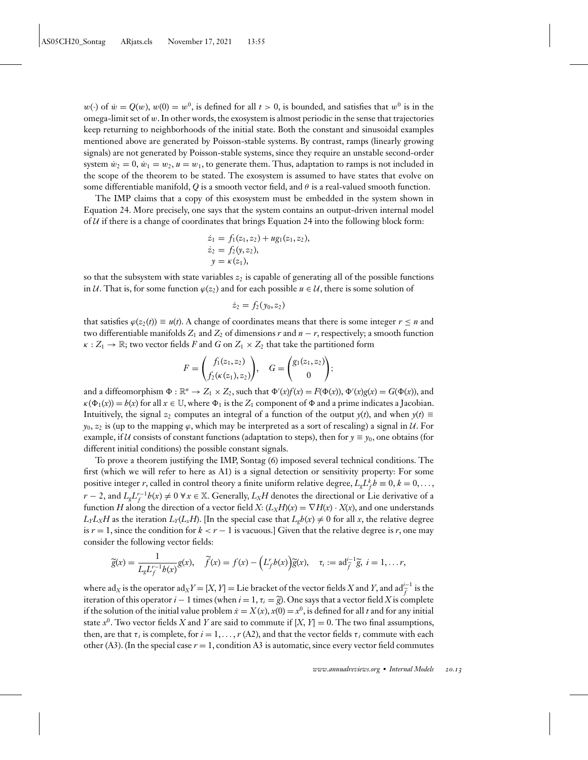$w(\cdot)$  of  $\dot{w} = Q(w)$ ,  $w(0) = w^0$ , is defined for all  $t > 0$ , is bounded, and satisfies that  $w^0$  is in the omega-limit set of *w*. In other words, the exosystem is almost periodic in the sense that trajectories keep returning to neighborhoods of the initial state. Both the constant and sinusoidal examples mentioned above are generated by Poisson-stable systems. By contrast, ramps (linearly growing signals) are not generated by Poisson-stable systems, since they require an unstable second-order system  $\dot{w}_2 = 0$ ,  $\dot{w}_1 = w_2$ ,  $u = w_1$ , to generate them. Thus, adaptation to ramps is not included in the scope of the theorem to be stated. The exosystem is assumed to have states that evolve on some differentiable manifold, *Q* is a smooth vector field, and  $\theta$  is a real-valued smooth function.

The IMP claims that a copy of this exosystem must be embedded in the system shown in [Equation 24.](#page-11-0) More precisely, one says that the system contains an output-driven internal model of  $U$  if there is a change of coordinates that brings [Equation 24](#page-11-0) into the following block form:

$$
\begin{aligned} \n\dot{z}_1 &= f_1(z_1, z_2) + ug_1(z_1, z_2), \\ \n\dot{z}_2 &= f_2(y, z_2), \\ \ny &= \kappa(z_1), \n\end{aligned}
$$

so that the subsystem with state variables  $z_2$  is capable of generating all of the possible functions in *U*. That is, for some function  $\varphi(z_2)$  and for each possible  $u \in U$ , there is some solution of

$$
\dot{z}_2=f_2(y_0,z_2)
$$

that satisfies  $\varphi(z_2(t)) \equiv u(t)$ . A change of coordinates means that there is some integer  $r \leq n$  and two differentiable manifolds  $Z_1$  and  $Z_2$  of dimensions  $r$  and  $n - r$ , respectively; a smooth function  $\kappa : Z_1 \to \mathbb{R}$ ; two vector fields *F* and *G* on  $Z_1 \times Z_2$  that take the partitioned form

$$
F = \begin{pmatrix} f_1(z_1, z_2) \\ f_2(\kappa(z_1), z_2) \end{pmatrix}, \quad G = \begin{pmatrix} g_1(z_1, z_2) \\ 0 \end{pmatrix};
$$

and a diffeomorphism  $\Phi : \mathbb{R}^n \to Z_1 \times Z_2$ , such that  $\Phi'(x) f(x) = F(\Phi(x)), \Phi'(x) g(x) = G(\Phi(x))$ , and  $\kappa(\Phi_1(x)) = b(x)$  for all  $x \in \mathbb{U}$ , where  $\Phi_1$  is the  $Z_1$  component of  $\Phi$  and a prime indicates a Jacobian. Intuitively, the signal  $z_2$  computes an integral of a function of the output  $y(t)$ , and when  $y(t) \equiv$  $y_0, z_2$  is (up to the mapping  $\varphi$ , which may be interpreted as a sort of rescaling) a signal in *U*. For example, if *U* consists of constant functions (adaptation to steps), then for  $y \equiv y_0$ , one obtains (for different initial conditions) the possible constant signals.

To prove a theorem justifying the IMP, Sontag [\(6\)](#page-20-0) imposed several technical conditions. The first (which we will refer to here as A1) is a signal detection or sensitivity property: For some positive integer *r*, called in control theory a finite uniform relative degree,  $L_{g}L_{f}^{k}h \equiv 0, k = 0, \ldots,$ *r* − 2, and  $L_g L_f^{r-1} h(x) \neq 0 \; \forall x \in \mathbb{X}$ . Generally,  $L_X H$  denotes the directional or Lie derivative of a function *H* along the direction of a vector field *X*:  $(L_X H)(x) = \nabla H(x) \cdot X(x)$ , and one understands  $L_Y L_X H$  as the iteration  $L_Y(L_X H)$ . [In the special case that  $L_g h(x) \neq 0$  for all *x*, the relative degree is  $r = 1$ , since the condition for  $k < r - 1$  is vacuous.] Given that the relative degree is *r*, one may consider the following vector fields:

$$
\widetilde{g}(x) = \frac{1}{L_g L_f^{r-1} b(x)} g(x), \quad \widetilde{f}(x) = f(x) - \left( L_f^r b(x) \right) \widetilde{g}(x), \quad \tau_i := \text{ad}_{\widetilde{f}}^{i-1} \widetilde{g}, \ i = 1, \dots r,
$$

where ad<sub>*X*</sub> is the operator ad<sub>*X</sub>Y* = [*X*, *Y*] = Lie bracket of the vector fields *X* and *Y*, and ad $\tilde{f}$  is the</sub> iteration of this operator *i* − 1 times (when *i* = 1,  $\tau_i$  =  $\tilde{g}$ ). One says that a vector field *X* is complete if the solution of the initial value problem  $\dot{x} = X(x)$ ,  $x(0) = x^0$ , is defined for all *t* and for any initial state  $x^0$ . Two vector fields *X* and *Y* are said to commute if  $[X, Y] = 0$ . The two final assumptions, then, are that  $\tau_i$  is complete, for  $i = 1, \ldots, r$  (A2), and that the vector fields  $\tau_i$  commute with each other (A3). (In the special case  $r = 1$ , condition A3 is automatic, since every vector field commutes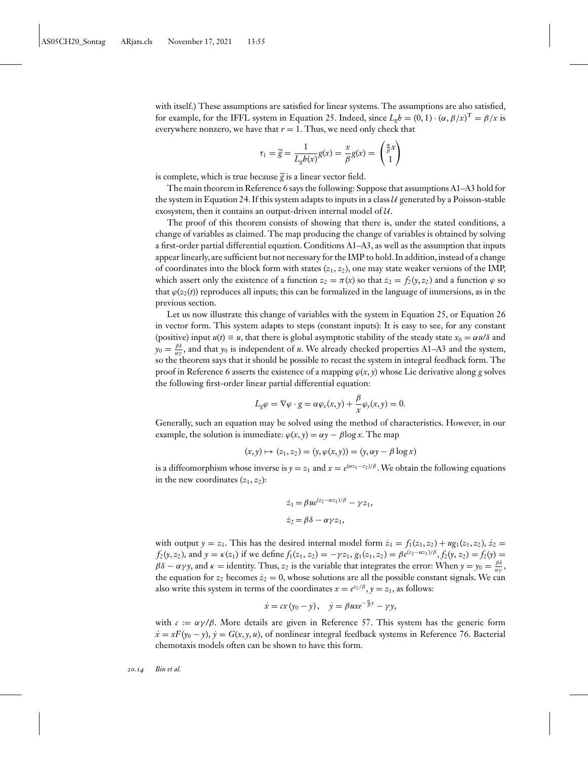with itself.) These assumptions are satisfied for linear systems. The assumptions are also satisfied, for example, for the IFFL system in [Equation 25.](#page-11-0) Indeed, since  $L_g h = (0, 1) \cdot (\alpha, \beta/x)^T = \beta/x$  is everywhere nonzero, we have that  $r = 1$ . Thus, we need only check that

$$
\tau_1 = \widetilde{g} = \frac{1}{L_g b(x)} g(x) = \frac{x}{\beta} g(x) = \begin{pmatrix} \frac{\alpha}{\beta} x \\ 1 \end{pmatrix}
$$

is complete, which is true because  $\tilde{g}$  is a linear vector field.

The main theorem in Reference [6](#page-20-0) says the following: Suppose that assumptions A1–A3 hold for the system in [Equation 24.](#page-11-0) If this system adapts to inputs in a class  $U$  generated by a Poisson-stable exosystem, then it contains an output-driven internal model of *U*.

The proof of this theorem consists of showing that there is, under the stated conditions, a change of variables as claimed. The map producing the change of variables is obtained by solving a first-order partial differential equation. Conditions A1–A3, as well as the assumption that inputs appear linearly, are sufficient but not necessary for the IMP to hold. In addition, instead of a change of coordinates into the block form with states  $(z_1, z_2)$ , one may state weaker versions of the IMP, which assert only the existence of a function  $z_2 = \pi(x)$  so that  $\dot{z}_2 = f_2(y, z_2)$  and a function  $\varphi$  so that  $\varphi(z_2(t))$  reproduces all inputs; this can be formalized in the language of immersions, as in the previous section.

Let us now illustrate this change of variables with the system in [Equation 25,](#page-11-0) or [Equation 26](#page-11-0) in vector form. This system adapts to steps (constant inputs): It is easy to see, for any constant (positive) input  $u(t) \equiv u$ , that there is global asymptotic stability of the steady state  $x_0 = \alpha u/\delta$  and  $y_0 = \frac{\beta \delta}{\alpha \gamma}$ , and that  $y_0$  is independent of *u*. We already checked properties A1–A3 and the system, so the theorem says that it should be possible to recast the system in integral feedback form. The proof in Reference [6](#page-20-0) asserts the existence of a mapping  $\varphi(x, y)$  whose Lie derivative along *g* solves the following first-order linear partial differential equation:

$$
L_g \varphi = \nabla \varphi \cdot g = \alpha \varphi_x(x, y) + \frac{\beta}{x} \varphi_y(x, y) = 0.
$$

Generally, such an equation may be solved using the method of characteristics. However, in our example, the solution is immediate:  $\varphi(x, y) = \alpha y - \beta \log x$ . The map

$$
(x, y) \mapsto (z_1, z_2) = (y, \varphi(x, y)) = (y, \alpha y - \beta \log x)
$$

is a diffeomorphism whose inverse is  $y = z_1$  and  $x = e^{(\alpha z_1 - z_2)/\beta}$ . We obtain the following equations in the new coordinates  $(z_1, z_2)$ :

$$
\begin{aligned} \n\dot{z}_1 &= \beta u e^{(z_2 - \alpha z_1)/\beta} - \gamma z_1, \\ \n\dot{z}_2 &= \beta \delta - \alpha \gamma z_1, \n\end{aligned}
$$

with output  $y = z_1$ . This has the desired internal model form  $\dot{z}_1 = f_1(z_1, z_2) + ug_1(z_1, z_2), \dot{z}_2 =$  $f_2(y, z_2)$ , and  $y = \kappa(z_1)$  if we define  $f_1(z_1, z_2) = -\gamma z_1$ ,  $g_1(z_1, z_2) = \beta e^{(z_2 - \alpha z_1)/\beta}$ ,  $f_2(y, z_2) = f_2(y) =$  $\beta\delta - \alpha\gamma y$ , and  $\kappa =$  identity. Thus,  $z_2$  is the variable that integrates the error: When  $y = y_0 = \frac{\beta\delta}{\alpha\gamma}$ , the equation for  $z_2$  becomes  $\dot{z}_2 = 0$ , whose solutions are all the possible constant signals. We can also write this system in terms of the coordinates  $x = e^{z_2/\beta}$ ,  $y = z_1$ , as follows:

$$
\dot{x} = cx(y_0 - y), \quad \dot{y} = \beta u x e^{-\frac{\alpha}{\beta}y} - \gamma y,
$$

with  $c := \alpha \gamma/\beta$ . More details are given in Reference [57.](#page-22-0) This system has the generic form  $\dot{x} = xF(y_0 - y)$ ,  $\dot{y} = G(x, y, u)$ , of nonlinear integral feedback systems in Reference [76.](#page-23-0) Bacterial chemotaxis models often can be shown to have this form.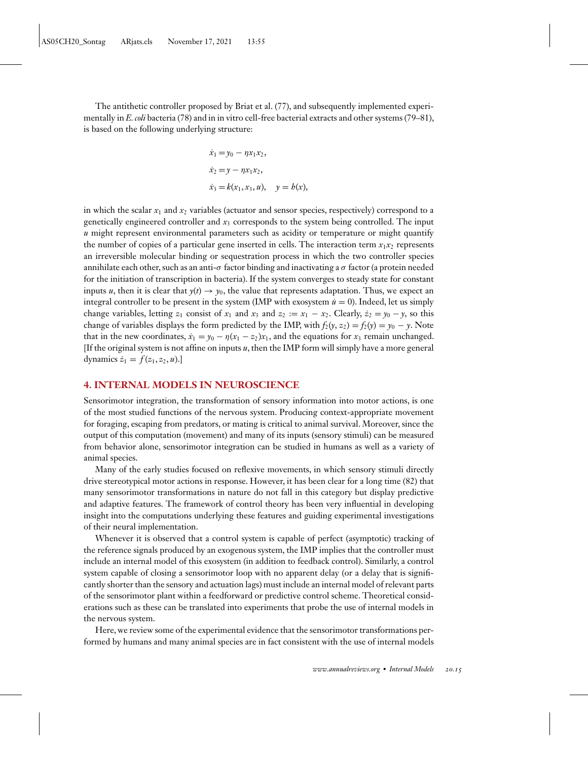The antithetic controller proposed by Briat et al. [\(77\)](#page-23-0), and subsequently implemented experimentally in *E. coli* bacteria [\(78\)](#page-23-0) and in in vitro cell-free bacterial extracts and other systems [\(79–81\)](#page-23-0), is based on the following underlying structure:

$$
\dot{x}_1 = y_0 - \eta x_1 x_2, \n\dot{x}_2 = y - \eta x_1 x_2, \n\dot{x}_3 = k(x_1, x_3, u), \quad y = b(x),
$$

in which the scalar  $x_1$  and  $x_2$  variables (actuator and sensor species, respectively) correspond to a genetically engineered controller and *x*<sup>3</sup> corresponds to the system being controlled. The input *u* might represent environmental parameters such as acidity or temperature or might quantify the number of copies of a particular gene inserted in cells. The interaction term  $x_1x_2$  represents an irreversible molecular binding or sequestration process in which the two controller species annihilate each other, such as an anti- $\sigma$  factor binding and inactivating a  $\sigma$  factor (a protein needed for the initiation of transcription in bacteria). If the system converges to steady state for constant inputs *u*, then it is clear that  $y(t) \to y_0$ , the value that represents adaptation. Thus, we expect an integral controller to be present in the system (IMP with exosystem  $\dot{u} = 0$ ). Indeed, let us simply change variables, letting  $z_1$  consist of  $x_1$  and  $x_3$  and  $z_2 := x_1 - x_2$ . Clearly,  $\dot{z}_2 = y_0 - y$ , so this change of variables displays the form predicted by the IMP, with  $f_2(y, z_2) = f_2(y) = y_0 - y$ . Note that in the new coordinates,  $\dot{x}_1 = y_0 - \eta(x_1 - z_2)x_1$ , and the equations for  $x_3$  remain unchanged. [If the original system is not affine on inputs *u*, then the IMP form will simply have a more general dynamics  $\dot{z}_1 = f(z_1, z_2, u)$ .]

# **4. INTERNAL MODELS IN NEUROSCIENCE**

Sensorimotor integration, the transformation of sensory information into motor actions, is one of the most studied functions of the nervous system. Producing context-appropriate movement for foraging, escaping from predators, or mating is critical to animal survival. Moreover, since the output of this computation (movement) and many of its inputs (sensory stimuli) can be measured from behavior alone, sensorimotor integration can be studied in humans as well as a variety of animal species.

Many of the early studies focused on reflexive movements, in which sensory stimuli directly drive stereotypical motor actions in response. However, it has been clear for a long time [\(82\)](#page-23-0) that many sensorimotor transformations in nature do not fall in this category but display predictive and adaptive features. The framework of control theory has been very influential in developing insight into the computations underlying these features and guiding experimental investigations of their neural implementation.

Whenever it is observed that a control system is capable of perfect (asymptotic) tracking of the reference signals produced by an exogenous system, the IMP implies that the controller must include an internal model of this exosystem (in addition to feedback control). Similarly, a control system capable of closing a sensorimotor loop with no apparent delay (or a delay that is significantly shorter than the sensory and actuation lags) must include an internal model of relevant parts of the sensorimotor plant within a feedforward or predictive control scheme. Theoretical considerations such as these can be translated into experiments that probe the use of internal models in the nervous system.

Here, we review some of the experimental evidence that the sensorimotor transformations performed by humans and many animal species are in fact consistent with the use of internal models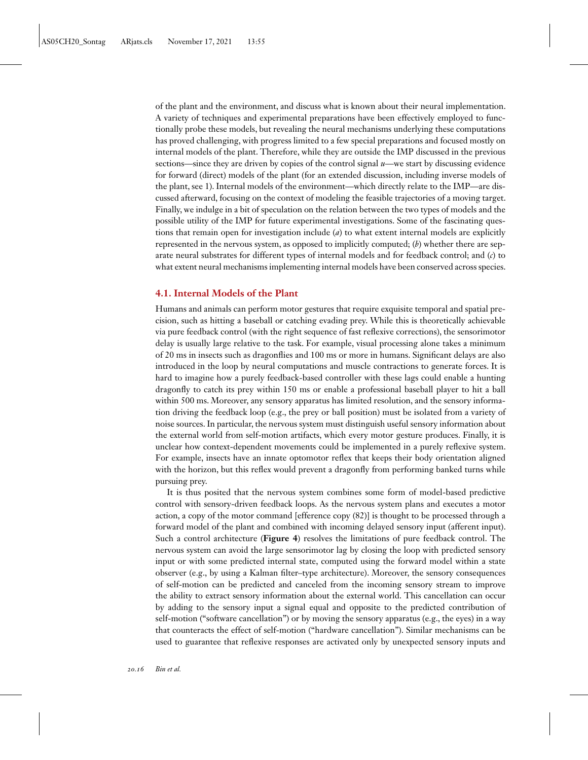of the plant and the environment, and discuss what is known about their neural implementation. A variety of techniques and experimental preparations have been effectively employed to functionally probe these models, but revealing the neural mechanisms underlying these computations has proved challenging, with progress limited to a few special preparations and focused mostly on internal models of the plant. Therefore, while they are outside the IMP discussed in the previous sections—since they are driven by copies of the control signal *u*—we start by discussing evidence for forward (direct) models of the plant (for an extended discussion, including inverse models of the plant, see [1\)](#page-20-0). Internal models of the environment—which directly relate to the IMP—are discussed afterward, focusing on the context of modeling the feasible trajectories of a moving target. Finally, we indulge in a bit of speculation on the relation between the two types of models and the possible utility of the IMP for future experimental investigations. Some of the fascinating questions that remain open for investigation include (*a*) to what extent internal models are explicitly represented in the nervous system, as opposed to implicitly computed; (*b*) whether there are separate neural substrates for different types of internal models and for feedback control; and (*c*) to what extent neural mechanisms implementing internal models have been conserved across species.

# **4.1. Internal Models of the Plant**

Humans and animals can perform motor gestures that require exquisite temporal and spatial precision, such as hitting a baseball or catching evading prey. While this is theoretically achievable via pure feedback control (with the right sequence of fast reflexive corrections), the sensorimotor delay is usually large relative to the task. For example, visual processing alone takes a minimum of 20 ms in insects such as dragonflies and 100 ms or more in humans. Significant delays are also introduced in the loop by neural computations and muscle contractions to generate forces. It is hard to imagine how a purely feedback-based controller with these lags could enable a hunting dragonfly to catch its prey within 150 ms or enable a professional baseball player to hit a ball within 500 ms. Moreover, any sensory apparatus has limited resolution, and the sensory information driving the feedback loop (e.g., the prey or ball position) must be isolated from a variety of noise sources. In particular, the nervous system must distinguish useful sensory information about the external world from self-motion artifacts, which every motor gesture produces. Finally, it is unclear how context-dependent movements could be implemented in a purely reflexive system. For example, insects have an innate optomotor reflex that keeps their body orientation aligned with the horizon, but this reflex would prevent a dragonfly from performing banked turns while pursuing prey.

It is thus posited that the nervous system combines some form of model-based predictive control with sensory-driven feedback loops. As the nervous system plans and executes a motor action, a copy of the motor command [efference copy [\(82\)](#page-23-0)] is thought to be processed through a forward model of the plant and combined with incoming delayed sensory input (afferent input). Such a control architecture (**[Figure 4](#page-16-0)**) resolves the limitations of pure feedback control. The nervous system can avoid the large sensorimotor lag by closing the loop with predicted sensory input or with some predicted internal state, computed using the forward model within a state observer (e.g., by using a Kalman filter–type architecture). Moreover, the sensory consequences of self-motion can be predicted and canceled from the incoming sensory stream to improve the ability to extract sensory information about the external world. This cancellation can occur by adding to the sensory input a signal equal and opposite to the predicted contribution of self-motion ("software cancellation") or by moving the sensory apparatus (e.g., the eyes) in a way that counteracts the effect of self-motion ("hardware cancellation"). Similar mechanisms can be used to guarantee that reflexive responses are activated only by unexpected sensory inputs and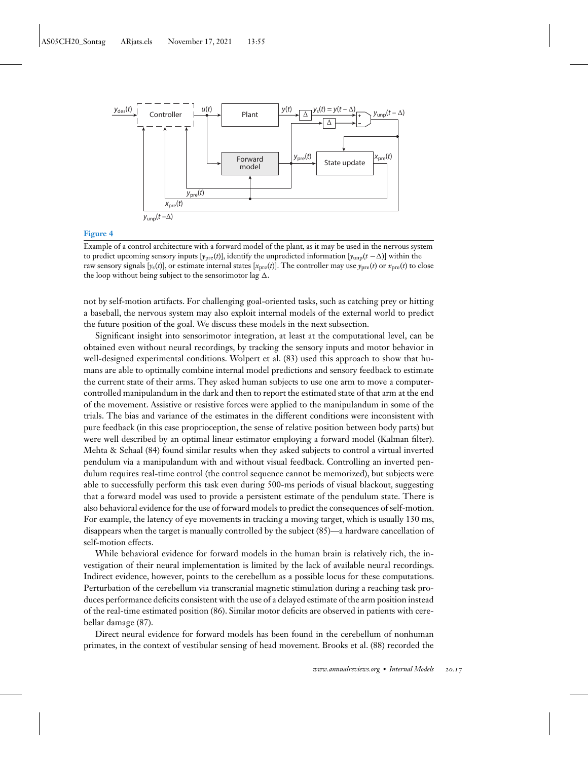<span id="page-16-0"></span>

#### **Figure 4**

Example of a control architecture with a forward model of the plant, as it may be used in the nervous system to predict upcoming sensory inputs  $[y_{pre}(t)]$ , identify the unpredicted information  $[y_{ump}(t-\Delta)]$  within the raw sensory signals  $[y_s(t)]$ , or estimate internal states  $[x_{pre}(t)]$ . The controller may use  $y_{pre}(t)$  or  $x_{pre}(t)$  to close the loop without being subject to the sensorimotor lag  $\Delta$ .

not by self-motion artifacts. For challenging goal-oriented tasks, such as catching prey or hitting a baseball, the nervous system may also exploit internal models of the external world to predict the future position of the goal. We discuss these models in the next subsection.

Significant insight into sensorimotor integration, at least at the computational level, can be obtained even without neural recordings, by tracking the sensory inputs and motor behavior in well-designed experimental conditions. Wolpert et al. [\(83\)](#page-23-0) used this approach to show that humans are able to optimally combine internal model predictions and sensory feedback to estimate the current state of their arms. They asked human subjects to use one arm to move a computercontrolled manipulandum in the dark and then to report the estimated state of that arm at the end of the movement. Assistive or resistive forces were applied to the manipulandum in some of the trials. The bias and variance of the estimates in the different conditions were inconsistent with pure feedback (in this case proprioception, the sense of relative position between body parts) but were well described by an optimal linear estimator employing a forward model (Kalman filter). Mehta & Schaal [\(84\)](#page-23-0) found similar results when they asked subjects to control a virtual inverted pendulum via a manipulandum with and without visual feedback. Controlling an inverted pendulum requires real-time control (the control sequence cannot be memorized), but subjects were able to successfully perform this task even during 500-ms periods of visual blackout, suggesting that a forward model was used to provide a persistent estimate of the pendulum state. There is also behavioral evidence for the use of forward models to predict the consequences of self-motion. For example, the latency of eye movements in tracking a moving target, which is usually 130 ms, disappears when the target is manually controlled by the subject [\(85\)](#page-23-0)—a hardware cancellation of self-motion effects.

While behavioral evidence for forward models in the human brain is relatively rich, the investigation of their neural implementation is limited by the lack of available neural recordings. Indirect evidence, however, points to the cerebellum as a possible locus for these computations. Perturbation of the cerebellum via transcranial magnetic stimulation during a reaching task produces performance deficits consistent with the use of a delayed estimate of the arm position instead of the real-time estimated position [\(86\)](#page-23-0). Similar motor deficits are observed in patients with cerebellar damage [\(87\)](#page-23-0).

Direct neural evidence for forward models has been found in the cerebellum of nonhuman primates, in the context of vestibular sensing of head movement. Brooks et al. [\(88\)](#page-23-0) recorded the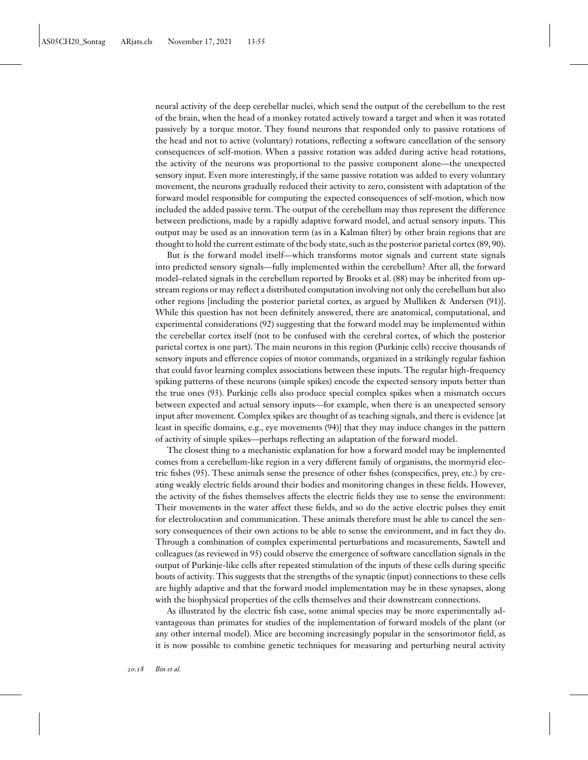neural activity of the deep cerebellar nuclei, which send the output of the cerebellum to the rest of the brain, when the head of a monkey rotated actively toward a target and when it was rotated passively by a torque motor. They found neurons that responded only to passive rotations of the head and not to active (voluntary) rotations, reflecting a software cancellation of the sensory consequences of self-motion. When a passive rotation was added during active head rotations, the activity of the neurons was proportional to the passive component alone—the unexpected sensory input. Even more interestingly, if the same passive rotation was added to every voluntary movement, the neurons gradually reduced their activity to zero, consistent with adaptation of the forward model responsible for computing the expected consequences of self-motion, which now included the added passive term. The output of the cerebellum may thus represent the difference between predictions, made by a rapidly adaptive forward model, and actual sensory inputs. This output may be used as an innovation term (as in a Kalman filter) by other brain regions that are thought to hold the current estimate of the body state, such as the posterior parietal cortex [\(89, 90\)](#page-24-0).

But is the forward model itself—which transforms motor signals and current state signals into predicted sensory signals—fully implemented within the cerebellum? After all, the forward model–related signals in the cerebellum reported by Brooks et al. [\(88\)](#page-23-0) may be inherited from upstream regions or may reflect a distributed computation involving not only the cerebellum but also other regions [including the posterior parietal cortex, as argued by Mulliken & Andersen [\(91\)](#page-24-0)]. While this question has not been definitely answered, there are anatomical, computational, and experimental considerations [\(92\)](#page-24-0) suggesting that the forward model may be implemented within the cerebellar cortex itself (not to be confused with the cerebral cortex, of which the posterior parietal cortex is one part). The main neurons in this region (Purkinje cells) receive thousands of sensory inputs and efference copies of motor commands, organized in a strikingly regular fashion that could favor learning complex associations between these inputs. The regular high-frequency spiking patterns of these neurons (simple spikes) encode the expected sensory inputs better than the true ones [\(93\)](#page-24-0). Purkinje cells also produce special complex spikes when a mismatch occurs between expected and actual sensory inputs—for example, when there is an unexpected sensory input after movement. Complex spikes are thought of as teaching signals, and there is evidence [at least in specific domains, e.g., eye movements [\(94\)](#page-24-0)] that they may induce changes in the pattern of activity of simple spikes—perhaps reflecting an adaptation of the forward model.

The closest thing to a mechanistic explanation for how a forward model may be implemented comes from a cerebellum-like region in a very different family of organisms, the mormyrid electric fishes [\(95\)](#page-24-0). These animals sense the presence of other fishes (conspecifics, prey, etc.) by creating weakly electric fields around their bodies and monitoring changes in these fields. However, the activity of the fishes themselves affects the electric fields they use to sense the environment: Their movements in the water affect these fields, and so do the active electric pulses they emit for electrolocation and communication. These animals therefore must be able to cancel the sensory consequences of their own actions to be able to sense the environment, and in fact they do. Through a combination of complex experimental perturbations and measurements, Sawtell and colleagues (as reviewed in [95\)](#page-24-0) could observe the emergence of software cancellation signals in the output of Purkinje-like cells after repeated stimulation of the inputs of these cells during specific bouts of activity. This suggests that the strengths of the synaptic (input) connections to these cells are highly adaptive and that the forward model implementation may be in these synapses, along with the biophysical properties of the cells themselves and their downstream connections.

As illustrated by the electric fish case, some animal species may be more experimentally advantageous than primates for studies of the implementation of forward models of the plant (or any other internal model). Mice are becoming increasingly popular in the sensorimotor field, as it is now possible to combine genetic techniques for measuring and perturbing neural activity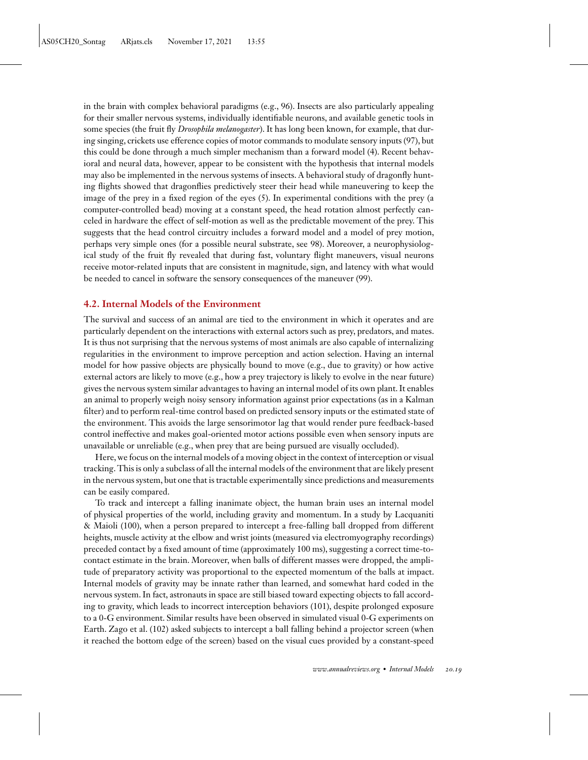in the brain with complex behavioral paradigms (e.g., [96\)](#page-24-0). Insects are also particularly appealing for their smaller nervous systems, individually identifiable neurons, and available genetic tools in some species (the fruit fly *Drosophila melanogaster*). It has long been known, for example, that during singing, crickets use efference copies of motor commands to modulate sensory inputs [\(97\)](#page-24-0), but this could be done through a much simpler mechanism than a forward model [\(4\)](#page-20-0). Recent behavioral and neural data, however, appear to be consistent with the hypothesis that internal models may also be implemented in the nervous systems of insects. A behavioral study of dragonfly hunting flights showed that dragonflies predictively steer their head while maneuvering to keep the image of the prey in a fixed region of the eyes [\(5\)](#page-20-0). In experimental conditions with the prey (a computer-controlled bead) moving at a constant speed, the head rotation almost perfectly canceled in hardware the effect of self-motion as well as the predictable movement of the prey. This suggests that the head control circuitry includes a forward model and a model of prey motion, perhaps very simple ones (for a possible neural substrate, see [98\)](#page-24-0). Moreover, a neurophysiological study of the fruit fly revealed that during fast, voluntary flight maneuvers, visual neurons receive motor-related inputs that are consistent in magnitude, sign, and latency with what would be needed to cancel in software the sensory consequences of the maneuver [\(99\)](#page-24-0).

# **4.2. Internal Models of the Environment**

The survival and success of an animal are tied to the environment in which it operates and are particularly dependent on the interactions with external actors such as prey, predators, and mates. It is thus not surprising that the nervous systems of most animals are also capable of internalizing regularities in the environment to improve perception and action selection. Having an internal model for how passive objects are physically bound to move (e.g., due to gravity) or how active external actors are likely to move (e.g., how a prey trajectory is likely to evolve in the near future) gives the nervous system similar advantages to having an internal model of its own plant. It enables an animal to properly weigh noisy sensory information against prior expectations (as in a Kalman filter) and to perform real-time control based on predicted sensory inputs or the estimated state of the environment. This avoids the large sensorimotor lag that would render pure feedback-based control ineffective and makes goal-oriented motor actions possible even when sensory inputs are unavailable or unreliable (e.g., when prey that are being pursued are visually occluded).

Here, we focus on the internal models of a moving object in the context of interception or visual tracking. This is only a subclass of all the internal models of the environment that are likely present in the nervous system, but one that is tractable experimentally since predictions and measurements can be easily compared.

To track and intercept a falling inanimate object, the human brain uses an internal model of physical properties of the world, including gravity and momentum. In a study by Lacquaniti & Maioli [\(100\)](#page-24-0), when a person prepared to intercept a free-falling ball dropped from different heights, muscle activity at the elbow and wrist joints (measured via electromyography recordings) preceded contact by a fixed amount of time (approximately 100 ms), suggesting a correct time-tocontact estimate in the brain. Moreover, when balls of different masses were dropped, the amplitude of preparatory activity was proportional to the expected momentum of the balls at impact. Internal models of gravity may be innate rather than learned, and somewhat hard coded in the nervous system. In fact, astronauts in space are still biased toward expecting objects to fall according to gravity, which leads to incorrect interception behaviors [\(101\)](#page-24-0), despite prolonged exposure to a 0-G environment. Similar results have been observed in simulated visual 0-G experiments on Earth. Zago et al. [\(102\)](#page-24-0) asked subjects to intercept a ball falling behind a projector screen (when it reached the bottom edge of the screen) based on the visual cues provided by a constant-speed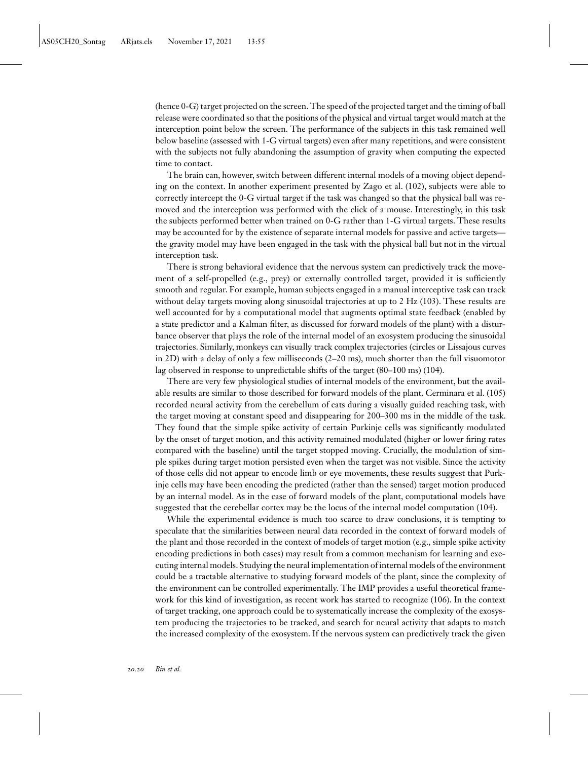(hence 0-G) target projected on the screen. The speed of the projected target and the timing of ball release were coordinated so that the positions of the physical and virtual target would match at the interception point below the screen. The performance of the subjects in this task remained well below baseline (assessed with 1-G virtual targets) even after many repetitions, and were consistent with the subjects not fully abandoning the assumption of gravity when computing the expected time to contact.

The brain can, however, switch between different internal models of a moving object depending on the context. In another experiment presented by Zago et al. [\(102\)](#page-24-0), subjects were able to correctly intercept the 0-G virtual target if the task was changed so that the physical ball was removed and the interception was performed with the click of a mouse. Interestingly, in this task the subjects performed better when trained on 0-G rather than 1-G virtual targets. These results may be accounted for by the existence of separate internal models for passive and active targetsthe gravity model may have been engaged in the task with the physical ball but not in the virtual interception task.

There is strong behavioral evidence that the nervous system can predictively track the movement of a self-propelled (e.g., prey) or externally controlled target, provided it is sufficiently smooth and regular. For example, human subjects engaged in a manual interceptive task can track without delay targets moving along sinusoidal trajectories at up to 2 Hz [\(103\)](#page-24-0). These results are well accounted for by a computational model that augments optimal state feedback (enabled by a state predictor and a Kalman filter, as discussed for forward models of the plant) with a disturbance observer that plays the role of the internal model of an exosystem producing the sinusoidal trajectories. Similarly, monkeys can visually track complex trajectories (circles or Lissajous curves in 2D) with a delay of only a few milliseconds (2–20 ms), much shorter than the full visuomotor lag observed in response to unpredictable shifts of the target (80–100 ms) [\(104\)](#page-24-0).

There are very few physiological studies of internal models of the environment, but the available results are similar to those described for forward models of the plant. Cerminara et al. [\(105\)](#page-24-0) recorded neural activity from the cerebellum of cats during a visually guided reaching task, with the target moving at constant speed and disappearing for 200–300 ms in the middle of the task. They found that the simple spike activity of certain Purkinje cells was significantly modulated by the onset of target motion, and this activity remained modulated (higher or lower firing rates compared with the baseline) until the target stopped moving. Crucially, the modulation of simple spikes during target motion persisted even when the target was not visible. Since the activity of those cells did not appear to encode limb or eye movements, these results suggest that Purkinje cells may have been encoding the predicted (rather than the sensed) target motion produced by an internal model. As in the case of forward models of the plant, computational models have suggested that the cerebellar cortex may be the locus of the internal model computation [\(104\)](#page-24-0).

While the experimental evidence is much too scarce to draw conclusions, it is tempting to speculate that the similarities between neural data recorded in the context of forward models of the plant and those recorded in the context of models of target motion (e.g., simple spike activity encoding predictions in both cases) may result from a common mechanism for learning and executing internal models. Studying the neural implementation of internal models of the environment could be a tractable alternative to studying forward models of the plant, since the complexity of the environment can be controlled experimentally. The IMP provides a useful theoretical framework for this kind of investigation, as recent work has started to recognize [\(106\)](#page-24-0). In the context of target tracking, one approach could be to systematically increase the complexity of the exosystem producing the trajectories to be tracked, and search for neural activity that adapts to match the increased complexity of the exosystem. If the nervous system can predictively track the given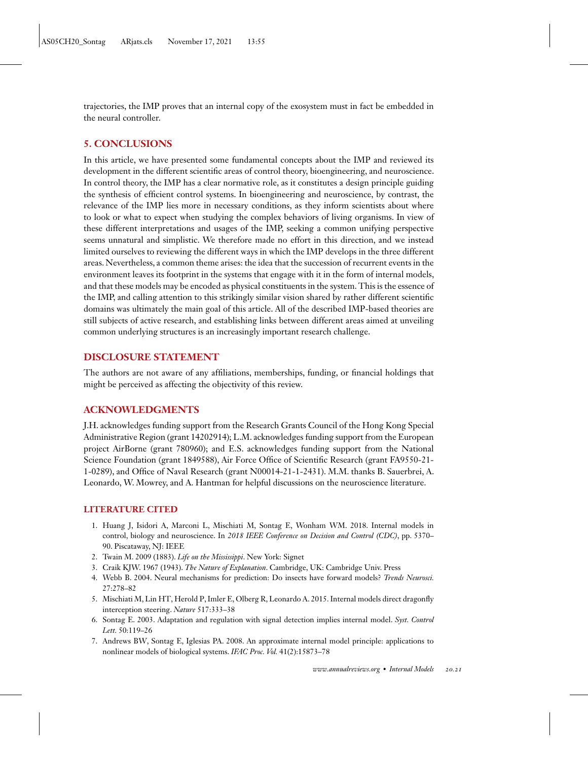<span id="page-20-0"></span>trajectories, the IMP proves that an internal copy of the exosystem must in fact be embedded in the neural controller.

# **5. CONCLUSIONS**

In this article, we have presented some fundamental concepts about the IMP and reviewed its development in the different scientific areas of control theory, bioengineering, and neuroscience. In control theory, the IMP has a clear normative role, as it constitutes a design principle guiding the synthesis of efficient control systems. In bioengineering and neuroscience, by contrast, the relevance of the IMP lies more in necessary conditions, as they inform scientists about where to look or what to expect when studying the complex behaviors of living organisms. In view of these different interpretations and usages of the IMP, seeking a common unifying perspective seems unnatural and simplistic. We therefore made no effort in this direction, and we instead limited ourselves to reviewing the different ways in which the IMP develops in the three different areas. Nevertheless, a common theme arises: the idea that the succession of recurrent events in the environment leaves its footprint in the systems that engage with it in the form of internal models, and that these models may be encoded as physical constituents in the system. This is the essence of the IMP, and calling attention to this strikingly similar vision shared by rather different scientific domains was ultimately the main goal of this article. All of the described IMP-based theories are still subjects of active research, and establishing links between different areas aimed at unveiling common underlying structures is an increasingly important research challenge.

# **DISCLOSURE STATEMENT**

The authors are not aware of any affiliations, memberships, funding, or financial holdings that might be perceived as affecting the objectivity of this review.

# **ACKNOWLEDGMENTS**

J.H. acknowledges funding support from the Research Grants Council of the Hong Kong Special Administrative Region (grant 14202914); L.M. acknowledges funding support from the European project AirBorne (grant 780960); and E.S. acknowledges funding support from the National Science Foundation (grant 1849588), Air Force Office of Scientific Research (grant FA9550-21- 1-0289), and Office of Naval Research (grant N00014-21-1-2431). M.M. thanks B. Sauerbrei, A. Leonardo, W. Mowrey, and A. Hantman for helpful discussions on the neuroscience literature.

# **LITERATURE CITED**

- 1. Huang J, Isidori A, Marconi L, Mischiati M, Sontag E, Wonham WM. 2018. Internal models in control, biology and neuroscience. In *2018 IEEE Conference on Decision and Control (CDC)*, pp. 5370– 90. Piscataway, NJ: IEEE
- 2. Twain M. 2009 (1883). *Life on the Mississippi*. New York: Signet
- 3. Craik KJW. 1967 (1943). *The Nature of Explanation*. Cambridge, UK: Cambridge Univ. Press
- 4. Webb B. 2004. Neural mechanisms for prediction: Do insects have forward models? *Trends Neurosci.* 27:278–82
- 5. Mischiati M, Lin HT, Herold P, Imler E, Olberg R, Leonardo A. 2015. Internal models direct dragonfly interception steering. *Nature* 517:333–38
- 6. Sontag E. 2003. Adaptation and regulation with signal detection implies internal model. *Syst. Control Lett.* 50:119–26
- 7. Andrews BW, Sontag E, Iglesias PA. 2008. An approximate internal model principle: applications to nonlinear models of biological systems. *IFAC Proc. Vol.* 41(2):15873–78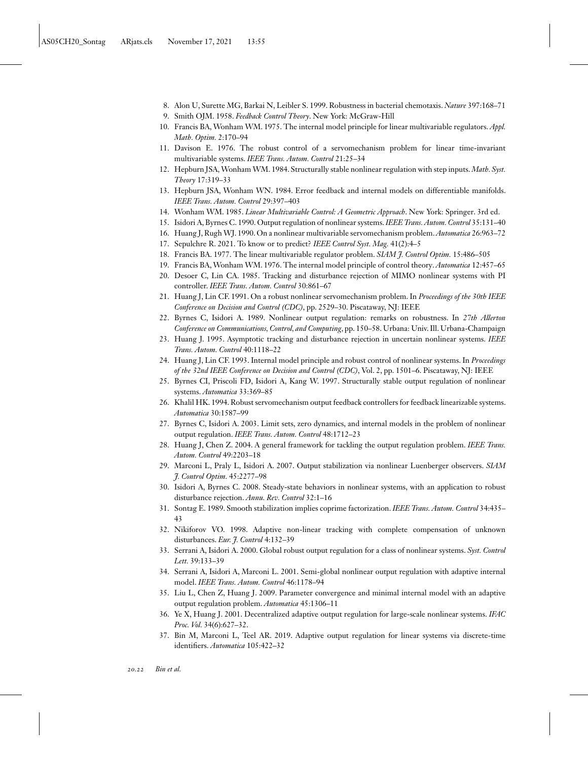- <span id="page-21-0"></span>8. Alon U, Surette MG, Barkai N, Leibler S. 1999. Robustness in bacterial chemotaxis. *Nature* 397:168–71
- 9. Smith OJM. 1958. *Feedback Control Theory*. New York: McGraw-Hill
- 10. Francis BA, Wonham WM. 1975. The internal model principle for linear multivariable regulators. *Appl. Math. Optim.* 2:170–94
- 11. Davison E. 1976. The robust control of a servomechanism problem for linear time-invariant multivariable systems. *IEEE Trans. Autom. Control* 21:25–34
- 12. Hepburn JSA,Wonham WM. 1984. Structurally stable nonlinear regulation with step inputs. *Math. Syst. Theory* 17:319–33
- 13. Hepburn JSA, Wonham WN. 1984. Error feedback and internal models on differentiable manifolds. *IEEE Trans. Autom. Control* 29:397–403
- 14. Wonham WM. 1985. *Linear Multivariable Control: A Geometric Approach*. New York: Springer. 3rd ed.
- 15. Isidori A, Byrnes C. 1990. Output regulation of nonlinear systems.*IEEE Trans. Autom. Control* 35:131–40
- 16. Huang J, Rugh WJ. 1990. On a nonlinear multivariable servomechanism problem.*Automatica* 26:963–72
- 17. Sepulchre R. 2021. To know or to predict? *IEEE Control Syst. Mag.* 41(2):4–5
- 18. Francis BA. 1977. The linear multivariable regulator problem. *SIAM J. Control Optim.* 15:486–505
- 19. Francis BA,Wonham WM. 1976. The internal model principle of control theory. *Automatica* 12:457–65
- 20. Desoer C, Lin CA. 1985. Tracking and disturbance rejection of MIMO nonlinear systems with PI controller. *IEEE Trans. Autom. Control* 30:861–67
- 21. Huang J, Lin CF. 1991. On a robust nonlinear servomechanism problem. In *Proceedings of the 30th IEEE Conference on Decision and Control (CDC)*, pp. 2529–30. Piscataway, NJ: IEEE
- 22. Byrnes C, Isidori A. 1989. Nonlinear output regulation: remarks on robustness. In *27th Allerton Conference on Communications, Control, and Computing*, pp. 150–58. Urbana: Univ. Ill. Urbana-Champaign
- 23. Huang J. 1995. Asymptotic tracking and disturbance rejection in uncertain nonlinear systems. *IEEE Trans. Autom. Control* 40:1118–22
- 24. Huang J, Lin CF. 1993. Internal model principle and robust control of nonlinear systems. In *Proceedings of the 32nd IEEE Conference on Decision and Control (CDC)*, Vol. 2, pp. 1501–6. Piscataway, NJ: IEEE
- 25. Byrnes CI, Priscoli FD, Isidori A, Kang W. 1997. Structurally stable output regulation of nonlinear systems. *Automatica* 33:369–85
- 26. Khalil HK. 1994. Robust servomechanism output feedback controllers for feedback linearizable systems. *Automatica* 30:1587–99
- 27. Byrnes C, Isidori A. 2003. Limit sets, zero dynamics, and internal models in the problem of nonlinear output regulation. *IEEE Trans. Autom. Control* 48:1712–23
- 28. Huang J, Chen Z. 2004. A general framework for tackling the output regulation problem. *IEEE Trans. Autom. Control* 49:2203–18
- 29. Marconi L, Praly L, Isidori A. 2007. Output stabilization via nonlinear Luenberger observers. *SIAM J. Control Optim.* 45:2277–98
- 30. Isidori A, Byrnes C. 2008. Steady-state behaviors in nonlinear systems, with an application to robust disturbance rejection. *Annu. Rev. Control* 32:1–16
- 31. Sontag E. 1989. Smooth stabilization implies coprime factorization. *IEEE Trans. Autom. Control* 34:435– 43
- 32. Nikiforov VO. 1998. Adaptive non-linear tracking with complete compensation of unknown disturbances. *Eur. J. Control* 4:132–39
- 33. Serrani A, Isidori A. 2000. Global robust output regulation for a class of nonlinear systems. *Syst. Control Lett.* 39:133–39
- 34. Serrani A, Isidori A, Marconi L. 2001. Semi-global nonlinear output regulation with adaptive internal model. *IEEE Trans. Autom. Control* 46:1178–94
- 35. Liu L, Chen Z, Huang J. 2009. Parameter convergence and minimal internal model with an adaptive output regulation problem. *Automatica* 45:1306–11
- 36. Ye X, Huang J. 2001. Decentralized adaptive output regulation for large-scale nonlinear systems. *IFAC Proc. Vol.* 34(6):627–32.
- 37. Bin M, Marconi L, Teel AR. 2019. Adaptive output regulation for linear systems via discrete-time identifiers. *Automatica* 105:422–32

*20.22 Bin et al.*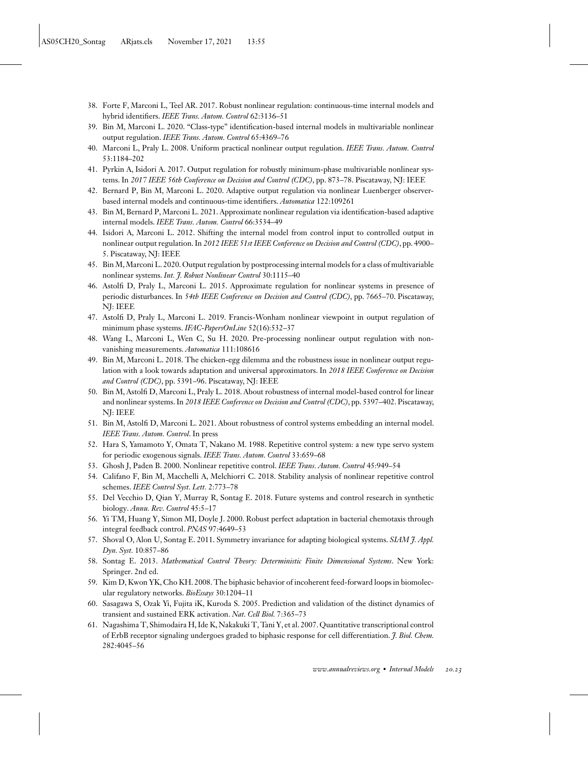- <span id="page-22-0"></span>38. Forte F, Marconi L, Teel AR. 2017. Robust nonlinear regulation: continuous-time internal models and hybrid identifiers. *IEEE Trans. Autom. Control* 62:3136–51
- 39. Bin M, Marconi L. 2020. "Class-type" identification-based internal models in multivariable nonlinear output regulation. *IEEE Trans. Autom. Control* 65:4369–76
- 40. Marconi L, Praly L. 2008. Uniform practical nonlinear output regulation. *IEEE Trans. Autom. Control* 53:1184–202
- 41. Pyrkin A, Isidori A. 2017. Output regulation for robustly minimum-phase multivariable nonlinear systems. In *2017 IEEE 56th Conference on Decision and Control (CDC)*, pp. 873–78. Piscataway, NJ: IEEE
- 42. Bernard P, Bin M, Marconi L. 2020. Adaptive output regulation via nonlinear Luenberger observerbased internal models and continuous-time identifiers. *Automatica* 122:109261
- 43. Bin M, Bernard P, Marconi L. 2021. Approximate nonlinear regulation via identification-based adaptive internal models. *IEEE Trans. Autom. Control* 66:3534–49
- 44. Isidori A, Marconi L. 2012. Shifting the internal model from control input to controlled output in nonlinear output regulation. In *2012 IEEE 51st IEEE Conference on Decision and Control (CDC)*, pp. 4900– 5. Piscataway, NJ: IEEE
- 45. Bin M,Marconi L. 2020. Output regulation by postprocessing internal models for a class of multivariable nonlinear systems. *Int. J. Robust Nonlinear Control* 30:1115–40
- 46. Astolfi D, Praly L, Marconi L. 2015. Approximate regulation for nonlinear systems in presence of periodic disturbances. In *54th IEEE Conference on Decision and Control (CDC)*, pp. 7665–70. Piscataway, NJ: IEEE
- 47. Astolfi D, Praly L, Marconi L. 2019. Francis-Wonham nonlinear viewpoint in output regulation of minimum phase systems. *IFAC-PapersOnLine* 52(16):532–37
- 48. Wang L, Marconi L, Wen C, Su H. 2020. Pre-processing nonlinear output regulation with nonvanishing measurements. *Automatica* 111:108616
- 49. Bin M, Marconi L. 2018. The chicken-egg dilemma and the robustness issue in nonlinear output regulation with a look towards adaptation and universal approximators. In *2018 IEEE Conference on Decision and Control (CDC)*, pp. 5391–96. Piscataway, NJ: IEEE
- 50. Bin M, Astolfi D, Marconi L, Praly L. 2018. About robustness of internal model-based control for linear and nonlinear systems. In *2018 IEEE Conference on Decision and Control (CDC)*, pp. 5397–402. Piscataway, NJ: IEEE
- 51. Bin M, Astolfi D, Marconi L. 2021. About robustness of control systems embedding an internal model. *IEEE Trans. Autom. Control*. In press
- 52. Hara S, Yamamoto Y, Omata T, Nakano M. 1988. Repetitive control system: a new type servo system for periodic exogenous signals. *IEEE Trans. Autom. Control* 33:659–68
- 53. Ghosh J, Paden B. 2000. Nonlinear repetitive control. *IEEE Trans. Autom. Control* 45:949–54
- 54. Califano F, Bin M, Macchelli A, Melchiorri C. 2018. Stability analysis of nonlinear repetitive control schemes. *IEEE Control Syst. Lett.* 2:773–78
- 55. Del Vecchio D, Qian Y, Murray R, Sontag E. 2018. Future systems and control research in synthetic biology. *Annu. Rev. Control* 45:5–17
- 56. Yi TM, Huang Y, Simon MI, Doyle J. 2000. Robust perfect adaptation in bacterial chemotaxis through integral feedback control. *PNAS* 97:4649–53
- 57. Shoval O, Alon U, Sontag E. 2011. Symmetry invariance for adapting biological systems. *SIAM J. Appl. Dyn. Syst.* 10:857–86
- 58. Sontag E. 2013. *Mathematical Control Theory: Deterministic Finite Dimensional Systems*. New York: Springer. 2nd ed.
- 59. Kim D, Kwon YK, Cho KH. 2008. The biphasic behavior of incoherent feed-forward loops in biomolecular regulatory networks. *BioEssays* 30:1204–11
- 60. Sasagawa S, Ozak Yi, Fujita iK, Kuroda S. 2005. Prediction and validation of the distinct dynamics of transient and sustained ERK activation. *Nat. Cell Biol.* 7:365–73
- 61. Nagashima T, Shimodaira H, Ide K, Nakakuki T, Tani Y, et al. 2007. Quantitative transcriptional control of ErbB receptor signaling undergoes graded to biphasic response for cell differentiation. *J. Biol. Chem.* 282:4045–56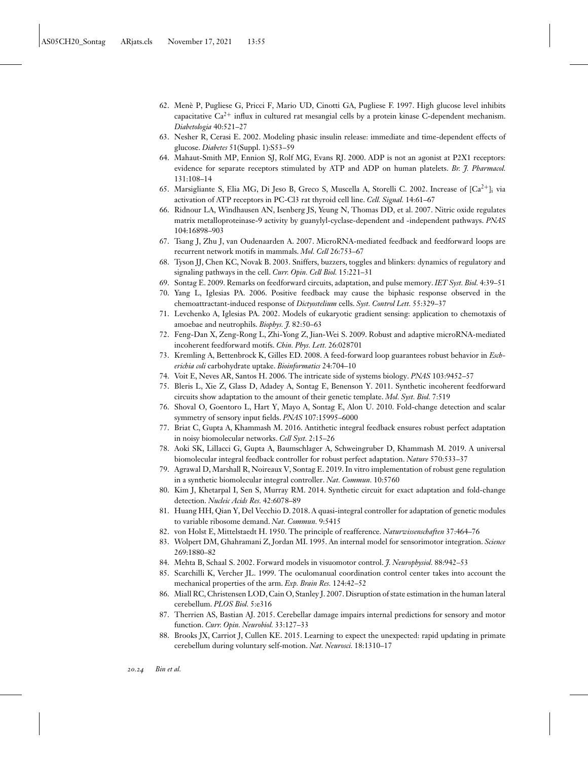- <span id="page-23-0"></span>62. Menè P, Pugliese G, Pricci F, Mario UD, Cinotti GA, Pugliese F. 1997. High glucose level inhibits capacitative  $Ca^{2+}$  influx in cultured rat mesangial cells by a protein kinase C-dependent mechanism. *Diabetologia* 40:521–27
- 63. Nesher R, Cerasi E. 2002. Modeling phasic insulin release: immediate and time-dependent effects of glucose. *Diabetes* 51(Suppl. 1):S53–59
- 64. Mahaut-Smith MP, Ennion SJ, Rolf MG, Evans RJ. 2000. ADP is not an agonist at P2X1 receptors: evidence for separate receptors stimulated by ATP and ADP on human platelets. *Br. J. Pharmacol.* 131:108–14
- 65. Marsigliante S, Elia MG, Di Jeso B, Greco S, Muscella A, Storelli C. 2002. Increase of  $[Ca^{2+}]_i$  via activation of ATP receptors in PC-Cl3 rat thyroid cell line. *Cell. Signal.* 14:61–67
- 66. Ridnour LA, Windhausen AN, Isenberg JS, Yeung N, Thomas DD, et al. 2007. Nitric oxide regulates matrix metalloproteinase-9 activity by guanylyl-cyclase-dependent and -independent pathways. *PNAS* 104:16898–903
- 67. Tsang J, Zhu J, van Oudenaarden A. 2007. MicroRNA-mediated feedback and feedforward loops are recurrent network motifs in mammals. *Mol. Cell* 26:753–67
- 68. Tyson JJ, Chen KC, Novak B. 2003. Sniffers, buzzers, toggles and blinkers: dynamics of regulatory and signaling pathways in the cell. *Curr. Opin. Cell Biol.* 15:221–31
- 69. Sontag E. 2009. Remarks on feedforward circuits, adaptation, and pulse memory. *IET Syst. Biol.* 4:39–51
- 70. Yang L, Iglesias PA. 2006. Positive feedback may cause the biphasic response observed in the chemoattractant-induced response of *Dictyostelium* cells. *Syst. Control Lett.* 55:329–37
- 71. Levchenko A, Iglesias PA. 2002. Models of eukaryotic gradient sensing: application to chemotaxis of amoebae and neutrophils. *Biophys. J.* 82:50–63
- 72. Feng-Dan X, Zeng-Rong L, Zhi-Yong Z, Jian-Wei S. 2009. Robust and adaptive microRNA-mediated incoherent feedforward motifs. *Chin. Phys. Lett.* 26:028701
- 73. Kremling A, Bettenbrock K, Gilles ED. 2008. A feed-forward loop guarantees robust behavior in *Escherichia coli* carbohydrate uptake. *Bioinformatics* 24:704–10
- 74. Voit E, Neves AR, Santos H. 2006. The intricate side of systems biology. *PNAS* 103:9452–57
- 75. Bleris L, Xie Z, Glass D, Adadey A, Sontag E, Benenson Y. 2011. Synthetic incoherent feedforward circuits show adaptation to the amount of their genetic template. *Mol. Syst. Biol.* 7:519
- 76. Shoval O, Goentoro L, Hart Y, Mayo A, Sontag E, Alon U. 2010. Fold-change detection and scalar symmetry of sensory input fields. *PNAS* 107:15995–6000
- 77. Briat C, Gupta A, Khammash M. 2016. Antithetic integral feedback ensures robust perfect adaptation in noisy biomolecular networks. *Cell Syst.* 2:15–26
- 78. Aoki SK, Lillacci G, Gupta A, Baumschlager A, Schweingruber D, Khammash M. 2019. A universal biomolecular integral feedback controller for robust perfect adaptation. *Nature* 570:533–37
- 79. Agrawal D, Marshall R, Noireaux V, Sontag E. 2019. In vitro implementation of robust gene regulation in a synthetic biomolecular integral controller. *Nat. Commun.* 10:5760
- 80. Kim J, Khetarpal I, Sen S, Murray RM. 2014. Synthetic circuit for exact adaptation and fold-change detection. *Nucleic Acids Res.* 42:6078–89
- 81. Huang HH, Qian Y, Del Vecchio D. 2018. A quasi-integral controller for adaptation of genetic modules to variable ribosome demand. *Nat. Commun.* 9:5415
- 82. von Holst E, Mittelstaedt H. 1950. The principle of reafference. *Naturwissenschaften* 37:464–76
- 83. Wolpert DM, Ghahramani Z, Jordan MI. 1995. An internal model for sensorimotor integration. *Science* 269:1880–82
- 84. Mehta B, Schaal S. 2002. Forward models in visuomotor control. *J. Neurophysiol.* 88:942–53
- 85. Scarchilli K, Vercher JL. 1999. The oculomanual coordination control center takes into account the mechanical properties of the arm. *Exp. Brain Res.* 124:42–52
- 86. Miall RC, Christensen LOD, Cain O, Stanley J. 2007. Disruption of state estimation in the human lateral cerebellum. *PLOS Biol.* 5:e316
- 87. Therrien AS, Bastian AJ. 2015. Cerebellar damage impairs internal predictions for sensory and motor function. *Curr. Opin. Neurobiol.* 33:127–33
- 88. Brooks JX, Carriot J, Cullen KE. 2015. Learning to expect the unexpected: rapid updating in primate cerebellum during voluntary self-motion. *Nat. Neurosci.* 18:1310–17

*20.24 Bin et al.*